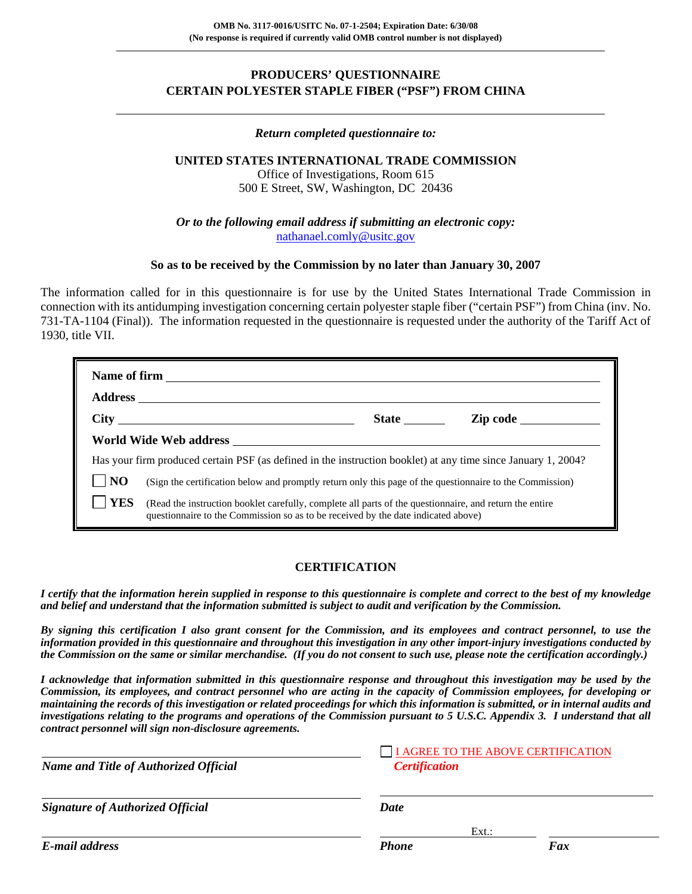## **PRODUCERS' QUESTIONNAIRE CERTAIN POLYESTER STAPLE FIBER ("PSF") FROM CHINA**

### *Return completed questionnaire to:*

### **UNITED STATES INTERNATIONAL TRADE COMMISSION**

Office of Investigations, Room 615 500 E Street, SW, Washington, DC 20436

*Or to the following email address if submitting an electronic copy:* nathanael.comly@usitc.gov

### **So as to be received by the Commission by no later than January 30, 2007**

The information called for in this questionnaire is for use by the United States International Trade Commission in connection with its antidumping investigation concerning certain polyester staple fiber ("certain PSF") from China (inv. No. 731-TA-1104 (Final)). The information requested in the questionnaire is requested under the authority of the Tariff Act of 1930, title VII.

|                                                                                                               | $City \quad \qquad \qquad \qquad$                                                                                                                                                            | <b>State</b> | <b>Zip code</b> |  |  |
|---------------------------------------------------------------------------------------------------------------|----------------------------------------------------------------------------------------------------------------------------------------------------------------------------------------------|--------------|-----------------|--|--|
|                                                                                                               |                                                                                                                                                                                              |              |                 |  |  |
| Has your firm produced certain PSF (as defined in the instruction booklet) at any time since January 1, 2004? |                                                                                                                                                                                              |              |                 |  |  |
| N <sub>O</sub>                                                                                                | (Sign the certification below and promptly return only this page of the questionnaire to the Commission)                                                                                     |              |                 |  |  |
| <b>YES</b>                                                                                                    | (Read the instruction booklet carefully, complete all parts of the questionnaire, and return the entire<br>questionnaire to the Commission so as to be received by the date indicated above) |              |                 |  |  |

### **CERTIFICATION**

*I certify that the information herein supplied in response to this questionnaire is complete and correct to the best of my knowledge and belief and understand that the information submitted is subject to audit and verification by the Commission.* 

*By signing this certification I also grant consent for the Commission, and its employees and contract personnel, to use the information provided in this questionnaire and throughout this investigation in any other import-injury investigations conducted by the Commission on the same or similar merchandise. (If you do not consent to such use, please note the certification accordingly.)* 

*I acknowledge that information submitted in this questionnaire response and throughout this investigation may be used by the Commission, its employees, and contract personnel who are acting in the capacity of Commission employees, for developing or maintaining the records of this investigation or related proceedings for which this information is submitted, or in internal audits and investigations relating to the programs and operations of the Commission pursuant to 5 U.S.C. Appendix 3. I understand that all contract personnel will sign non-disclosure agreements.*

| <b>Name and Title of Authorized Official</b> | <b>Certification</b> | I AGREE TO THE ABOVE CERTIFICATION |  |  |
|----------------------------------------------|----------------------|------------------------------------|--|--|
| <b>Signature of Authorized Official</b>      | Date                 |                                    |  |  |
|                                              |                      | $Ext.$ :                           |  |  |
| E-mail address                               | <b>Phone</b>         | Fax                                |  |  |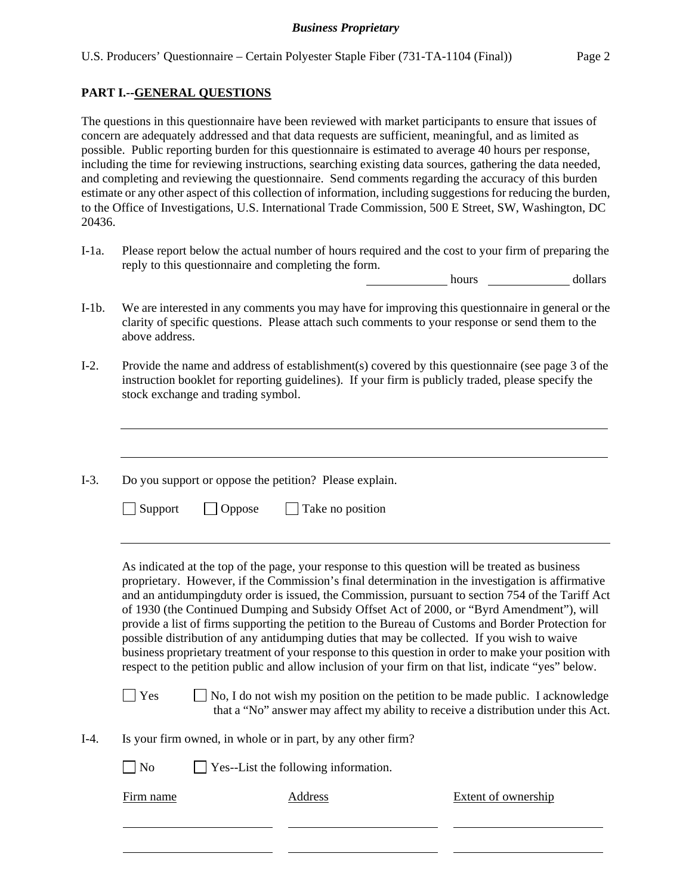### **PART I.--GENERAL QUESTIONS**

 $\overline{a}$ 

The questions in this questionnaire have been reviewed with market participants to ensure that issues of concern are adequately addressed and that data requests are sufficient, meaningful, and as limited as possible. Public reporting burden for this questionnaire is estimated to average 40 hours per response, including the time for reviewing instructions, searching existing data sources, gathering the data needed, and completing and reviewing the questionnaire. Send comments regarding the accuracy of this burden estimate or any other aspect of this collection of information, including suggestions for reducing the burden, to the Office of Investigations, U.S. International Trade Commission, 500 E Street, SW, Washington, DC 20436.

I-1a. Please report below the actual number of hours required and the cost to your firm of preparing the reply to this questionnaire and completing the form.

hours dollars

- I-1b. We are interested in any comments you may have for improving this questionnaire in general or the clarity of specific questions. Please attach such comments to your response or send them to the above address.
- I-2. Provide the name and address of establishment(s) covered by this questionnaire (see page 3 of the instruction booklet for reporting guidelines). If your firm is publicly traded, please specify the stock exchange and trading symbol.

 $\overline{a}$ I-3. Do you support or oppose the petition? Please explain.  $\Box$  Support  $\Box$  Oppose  $\Box$  Take no position l As indicated at the top of the page, your response to this question will be treated as business proprietary. However, if the Commission's final determination in the investigation is affirmative and an antidumpingduty order is issued, the Commission, pursuant to section 754 of the Tariff Act of 1930 (the Continued Dumping and Subsidy Offset Act of 2000, or "Byrd Amendment"), will provide a list of firms supporting the petition to the Bureau of Customs and Border Protection for possible distribution of any antidumping duties that may be collected. If you wish to waive business proprietary treatment of your response to this question in order to make your position with respect to the petition public and allow inclusion of your firm on that list, indicate "yes" below.  $\Box$  Yes  $\Box$  No, I do not wish my position on the petition to be made public. I acknowledge that a "No" answer may affect my ability to receive a distribution under this Act. I-4. Is your firm owned, in whole or in part, by any other firm? No Pes--List the following information. Firm name **Address** Address Extent of ownership  $\overline{a}$  $\overline{a}$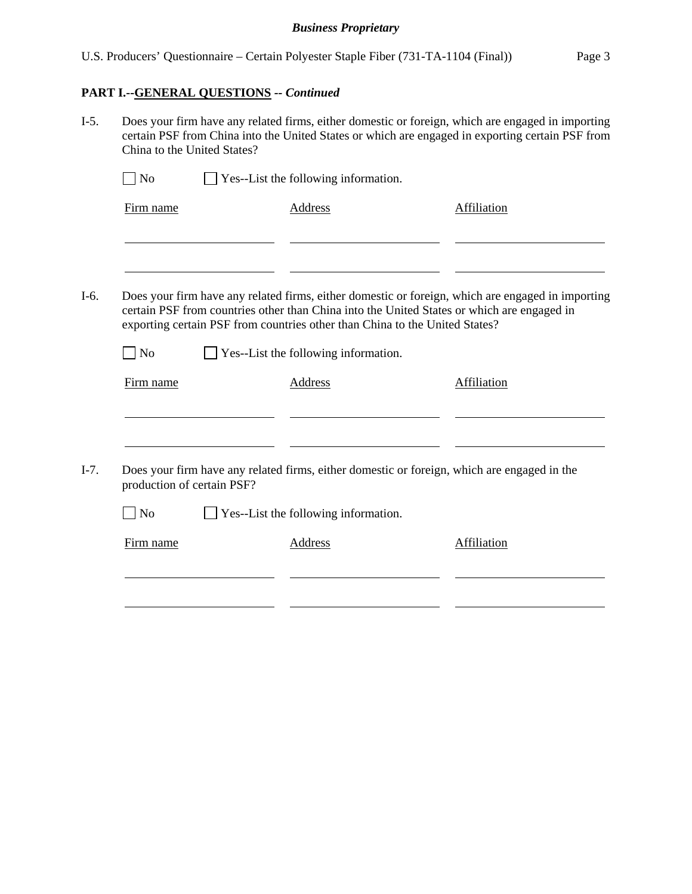# **PART I.--GENERAL QUESTIONS** *-- Continued*

I-5. Does your firm have any related firms, either domestic or foreign, which are engaged in importing certain PSF from China into the United States or which are engaged in exporting certain PSF from China to the United States?

| N <sub>o</sub>             | Yes--List the following information.                                                                                                                                                                                                                                           |             |
|----------------------------|--------------------------------------------------------------------------------------------------------------------------------------------------------------------------------------------------------------------------------------------------------------------------------|-------------|
| Firm name                  | <b>Address</b>                                                                                                                                                                                                                                                                 | Affiliation |
|                            |                                                                                                                                                                                                                                                                                |             |
|                            | Does your firm have any related firms, either domestic or foreign, which are engaged in importing<br>certain PSF from countries other than China into the United States or which are engaged in<br>exporting certain PSF from countries other than China to the United States? |             |
| N <sub>o</sub>             | Yes--List the following information.                                                                                                                                                                                                                                           |             |
| Firm name                  | Address                                                                                                                                                                                                                                                                        | Affiliation |
|                            |                                                                                                                                                                                                                                                                                |             |
|                            |                                                                                                                                                                                                                                                                                |             |
| production of certain PSF? | Does your firm have any related firms, either domestic or foreign, which are engaged in the                                                                                                                                                                                    |             |
| N <sub>o</sub>             | Yes--List the following information.                                                                                                                                                                                                                                           |             |
| Firm name                  | Address                                                                                                                                                                                                                                                                        | Affiliation |
|                            |                                                                                                                                                                                                                                                                                |             |
|                            |                                                                                                                                                                                                                                                                                |             |
|                            |                                                                                                                                                                                                                                                                                |             |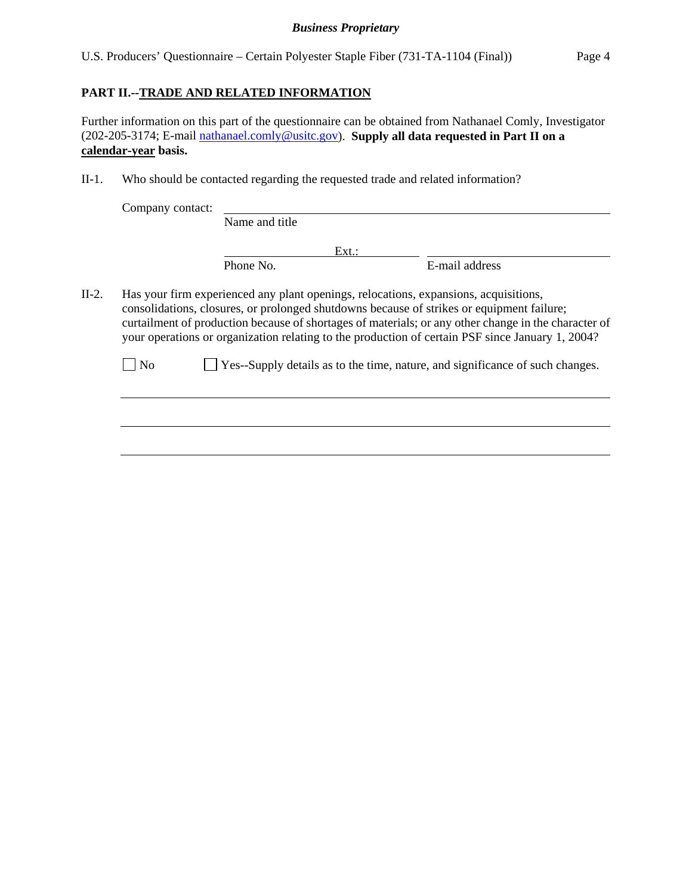U.S. Producers' Questionnaire – Certain Polyester Staple Fiber (731-TA-1104 (Final)) Page 4

## **PART II.--TRADE AND RELATED INFORMATION**

Further information on this part of the questionnaire can be obtained from Nathanael Comly, Investigator (202-205-3174; E-mail nathanael.comly@usitc.gov). **Supply all data requested in Part II on a calendar-year basis.**

II-1. Who should be contacted regarding the requested trade and related information?

|         | Company contact:                                                                                                                                                                                                                                                                                                                                                                              |                |  |                                                                               |
|---------|-----------------------------------------------------------------------------------------------------------------------------------------------------------------------------------------------------------------------------------------------------------------------------------------------------------------------------------------------------------------------------------------------|----------------|--|-------------------------------------------------------------------------------|
|         |                                                                                                                                                                                                                                                                                                                                                                                               | Name and title |  |                                                                               |
|         |                                                                                                                                                                                                                                                                                                                                                                                               | Ext.:          |  |                                                                               |
|         |                                                                                                                                                                                                                                                                                                                                                                                               | Phone No.      |  | E-mail address                                                                |
| $II-2.$ | Has your firm experienced any plant openings, relocations, expansions, acquisitions,<br>consolidations, closures, or prolonged shutdowns because of strikes or equipment failure;<br>curtailment of production because of shortages of materials; or any other change in the character of<br>your operations or organization relating to the production of certain PSF since January 1, 2004? |                |  |                                                                               |
|         | N <sub>o</sub>                                                                                                                                                                                                                                                                                                                                                                                |                |  | Yes--Supply details as to the time, nature, and significance of such changes. |
|         |                                                                                                                                                                                                                                                                                                                                                                                               |                |  |                                                                               |
|         |                                                                                                                                                                                                                                                                                                                                                                                               |                |  |                                                                               |
|         |                                                                                                                                                                                                                                                                                                                                                                                               |                |  |                                                                               |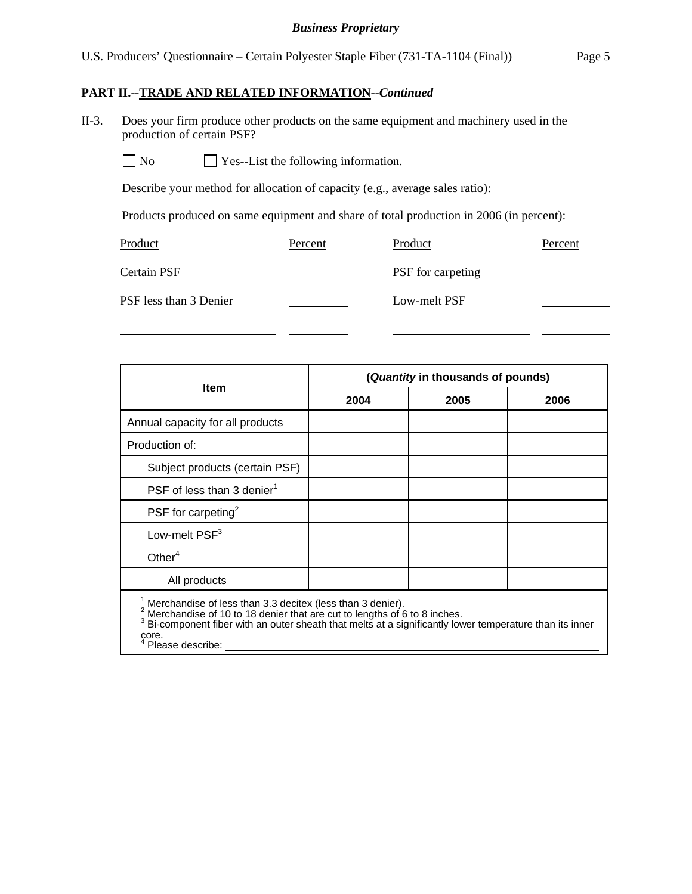### U.S. Producers' Questionnaire – Certain Polyester Staple Fiber (731-TA-1104 (Final)) Page 5

### **PART II.--TRADE AND RELATED INFORMATION***--Continued*

II-3. Does your firm produce other products on the same equipment and machinery used in the production of certain PSF?

 $\Box$  No  $\Box$  Yes--List the following information.

Describe your method for allocation of capacity (e.g., average sales ratio):

Products produced on same equipment and share of total production in 2006 (in percent):

| Product                | Percent | Product           | Percent |
|------------------------|---------|-------------------|---------|
| Certain PSF            |         | PSF for carpeting |         |
| PSF less than 3 Denier |         | Low-melt PSF      |         |

|                                        | (Quantity in thousands of pounds) |      |      |  |
|----------------------------------------|-----------------------------------|------|------|--|
| <b>Item</b>                            | 2004                              | 2005 | 2006 |  |
| Annual capacity for all products       |                                   |      |      |  |
| Production of:                         |                                   |      |      |  |
| Subject products (certain PSF)         |                                   |      |      |  |
| PSF of less than 3 denier <sup>1</sup> |                                   |      |      |  |
| PSF for carpeting <sup>2</sup>         |                                   |      |      |  |
| Low-melt PSF <sup>3</sup>              |                                   |      |      |  |
| Other $4$                              |                                   |      |      |  |
| All products                           |                                   |      |      |  |

<sup>1</sup> Merchandise of less than 3.3 decitex (less than 3 denier).<br><sup>2</sup> Merchandise of 10 to 18 denier that are out to lengths of 6

 $^{\text{2}}$  Merchandise of 10 to 18 denier that are cut to lengths of 6 to 8 inches.<br> $^3$  Bi-component fiber with an outer sheath that melts at a significantly lower temperature than its inner core.<br><sup>4</sup> Ples

Please describe: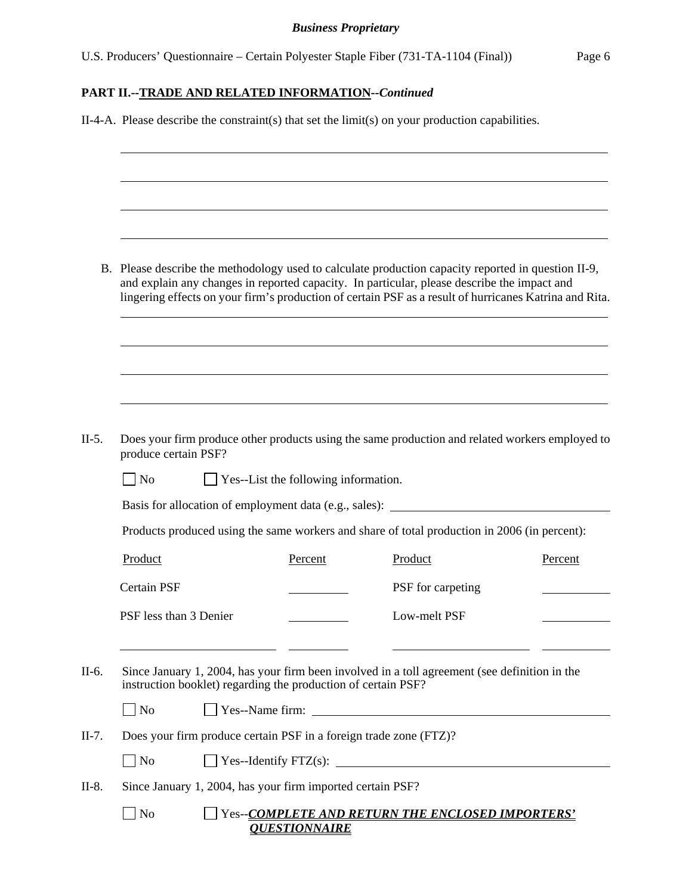U.S. Producers' Questionnaire – Certain Polyester Staple Fiber (731-TA-1104 (Final)) Page 6

## **PART II.--TRADE AND RELATED INFORMATION***--Continued*

|         | $II-4-A$ . Please describe the constraint(s) that set the limit(s) on your production capabilities. |  |                                                                   |                                                                                                                                                                                                                                                                                                              |         |
|---------|-----------------------------------------------------------------------------------------------------|--|-------------------------------------------------------------------|--------------------------------------------------------------------------------------------------------------------------------------------------------------------------------------------------------------------------------------------------------------------------------------------------------------|---------|
|         |                                                                                                     |  |                                                                   |                                                                                                                                                                                                                                                                                                              |         |
|         |                                                                                                     |  |                                                                   |                                                                                                                                                                                                                                                                                                              |         |
|         |                                                                                                     |  |                                                                   |                                                                                                                                                                                                                                                                                                              |         |
|         |                                                                                                     |  |                                                                   | B. Please describe the methodology used to calculate production capacity reported in question II-9,<br>and explain any changes in reported capacity. In particular, please describe the impact and<br>lingering effects on your firm's production of certain PSF as a result of hurricanes Katrina and Rita. |         |
|         |                                                                                                     |  |                                                                   |                                                                                                                                                                                                                                                                                                              |         |
|         |                                                                                                     |  |                                                                   |                                                                                                                                                                                                                                                                                                              |         |
| $II-5.$ | produce certain PSF?                                                                                |  |                                                                   | Does your firm produce other products using the same production and related workers employed to                                                                                                                                                                                                              |         |
|         | $\vert$ No                                                                                          |  | $\Box$ Yes--List the following information.                       |                                                                                                                                                                                                                                                                                                              |         |
|         |                                                                                                     |  |                                                                   | Basis for allocation of employment data (e.g., sales): _________________________                                                                                                                                                                                                                             |         |
|         |                                                                                                     |  |                                                                   | Products produced using the same workers and share of total production in 2006 (in percent):                                                                                                                                                                                                                 |         |
|         | Product                                                                                             |  | Percent                                                           | Product                                                                                                                                                                                                                                                                                                      | Percent |
|         | <b>Certain PSF</b>                                                                                  |  |                                                                   | PSF for carpeting                                                                                                                                                                                                                                                                                            |         |
|         | PSF less than 3 Denier                                                                              |  |                                                                   | Low-melt PSF                                                                                                                                                                                                                                                                                                 |         |
| $II-6.$ |                                                                                                     |  | instruction booklet) regarding the production of certain PSF?     | Since January 1, 2004, has your firm been involved in a toll agreement (see definition in the                                                                                                                                                                                                                |         |
|         | $\Box$ No                                                                                           |  |                                                                   |                                                                                                                                                                                                                                                                                                              |         |
| $II-7.$ |                                                                                                     |  | Does your firm produce certain PSF in a foreign trade zone (FTZ)? |                                                                                                                                                                                                                                                                                                              |         |
|         | $\Box$ No                                                                                           |  |                                                                   | $\Box$ Yes--Identify FTZ(s):                                                                                                                                                                                                                                                                                 |         |
| $II-8.$ |                                                                                                     |  | Since January 1, 2004, has your firm imported certain PSF?        |                                                                                                                                                                                                                                                                                                              |         |
|         | $\blacksquare$ No                                                                                   |  | <b>QUESTIONNAIRE</b>                                              | Yes--COMPLETE AND RETURN THE ENCLOSED IMPORTERS'                                                                                                                                                                                                                                                             |         |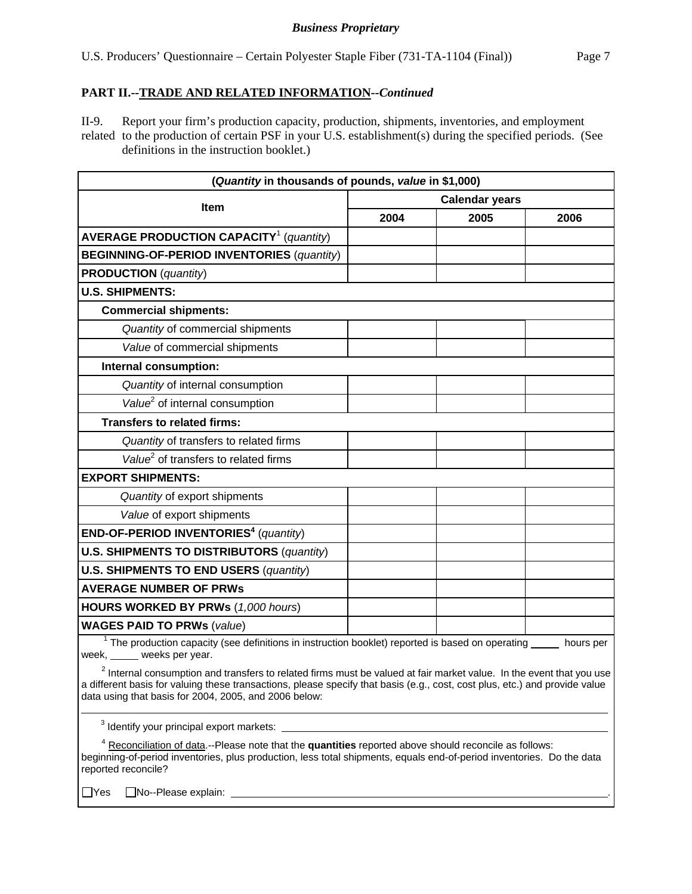## **PART II.--TRADE AND RELATED INFORMATION***--Continued*

II-9. Report your firm's production capacity, production, shipments, inventories, and employment related to the production of certain PSF in your U.S. establishment(s) during the specified periods. (See definitions in the instruction booklet.)

| (Quantity in thousands of pounds, value in \$1,000)                                                                                                                                                                                                                                                            |      |                       |      |  |
|----------------------------------------------------------------------------------------------------------------------------------------------------------------------------------------------------------------------------------------------------------------------------------------------------------------|------|-----------------------|------|--|
| Item                                                                                                                                                                                                                                                                                                           |      | <b>Calendar years</b> |      |  |
|                                                                                                                                                                                                                                                                                                                | 2004 | 2005                  | 2006 |  |
| <b>AVERAGE PRODUCTION CAPACITY<sup>1</sup></b> (quantity)                                                                                                                                                                                                                                                      |      |                       |      |  |
| <b>BEGINNING-OF-PERIOD INVENTORIES (quantity)</b>                                                                                                                                                                                                                                                              |      |                       |      |  |
| <b>PRODUCTION</b> (quantity)                                                                                                                                                                                                                                                                                   |      |                       |      |  |
| <b>U.S. SHIPMENTS:</b>                                                                                                                                                                                                                                                                                         |      |                       |      |  |
| <b>Commercial shipments:</b>                                                                                                                                                                                                                                                                                   |      |                       |      |  |
| Quantity of commercial shipments                                                                                                                                                                                                                                                                               |      |                       |      |  |
| Value of commercial shipments                                                                                                                                                                                                                                                                                  |      |                       |      |  |
| Internal consumption:                                                                                                                                                                                                                                                                                          |      |                       |      |  |
| Quantity of internal consumption                                                                                                                                                                                                                                                                               |      |                       |      |  |
| Value <sup>2</sup> of internal consumption                                                                                                                                                                                                                                                                     |      |                       |      |  |
| <b>Transfers to related firms:</b>                                                                                                                                                                                                                                                                             |      |                       |      |  |
| Quantity of transfers to related firms                                                                                                                                                                                                                                                                         |      |                       |      |  |
| Value <sup>2</sup> of transfers to related firms                                                                                                                                                                                                                                                               |      |                       |      |  |
| <b>EXPORT SHIPMENTS:</b>                                                                                                                                                                                                                                                                                       |      |                       |      |  |
| Quantity of export shipments                                                                                                                                                                                                                                                                                   |      |                       |      |  |
| Value of export shipments                                                                                                                                                                                                                                                                                      |      |                       |      |  |
| <b>END-OF-PERIOD INVENTORIES<sup>4</sup></b> (quantity)                                                                                                                                                                                                                                                        |      |                       |      |  |
| <b>U.S. SHIPMENTS TO DISTRIBUTORS (quantity)</b>                                                                                                                                                                                                                                                               |      |                       |      |  |
| <b>U.S. SHIPMENTS TO END USERS (quantity)</b>                                                                                                                                                                                                                                                                  |      |                       |      |  |
| <b>AVERAGE NUMBER OF PRWS</b>                                                                                                                                                                                                                                                                                  |      |                       |      |  |
| <b>HOURS WORKED BY PRWs (1,000 hours)</b>                                                                                                                                                                                                                                                                      |      |                       |      |  |
| <b>WAGES PAID TO PRWs (value)</b>                                                                                                                                                                                                                                                                              |      |                       |      |  |
| The production capacity (see definitions in instruction booklet) reported is based on operating _____ hours per<br>week, weeks per year.                                                                                                                                                                       |      |                       |      |  |
| $2$ Internal consumption and transfers to related firms must be valued at fair market value. In the event that you use<br>a different basis for valuing these transactions, please specify that basis (e.g., cost, cost plus, etc.) and provide value<br>data using that basis for 2004, 2005, and 2006 below: |      |                       |      |  |
| <sup>3</sup> Identify your principal export markets:                                                                                                                                                                                                                                                           |      |                       |      |  |
| <sup>4</sup> Reconciliation of data.--Please note that the quantities reported above should reconcile as follows:<br>beginning-of-period inventories, plus production, less total shipments, equals end-of-period inventories. Do the data<br>reported reconcile?                                              |      |                       |      |  |
| □No--Please explain:<br>$\Box$ Yes                                                                                                                                                                                                                                                                             |      |                       |      |  |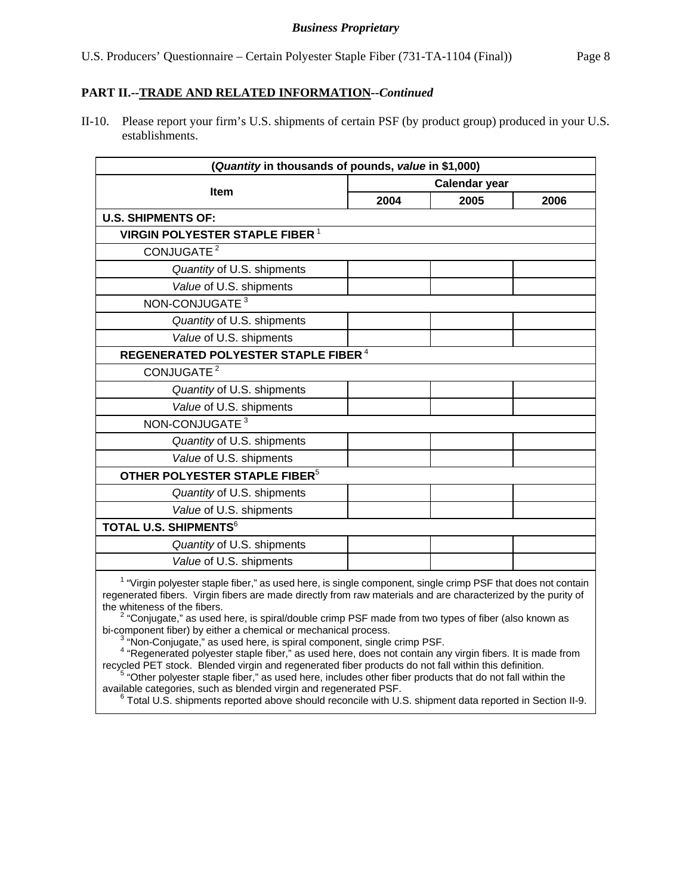### **PART II.--TRADE AND RELATED INFORMATION***--Continued*

II-10. Please report your firm's U.S. shipments of certain PSF (by product group) produced in your U.S. establishments.

| (Quantity in thousands of pounds, value in \$1,000)                                                                                                                                                                                                                                                                                                                                                                                                                      |                      |      |      |  |  |
|--------------------------------------------------------------------------------------------------------------------------------------------------------------------------------------------------------------------------------------------------------------------------------------------------------------------------------------------------------------------------------------------------------------------------------------------------------------------------|----------------------|------|------|--|--|
|                                                                                                                                                                                                                                                                                                                                                                                                                                                                          | <b>Calendar year</b> |      |      |  |  |
| Item                                                                                                                                                                                                                                                                                                                                                                                                                                                                     | 2004                 | 2005 | 2006 |  |  |
| <b>U.S. SHIPMENTS OF:</b>                                                                                                                                                                                                                                                                                                                                                                                                                                                |                      |      |      |  |  |
| <b>VIRGIN POLYESTER STAPLE FIBER<sup>1</sup></b>                                                                                                                                                                                                                                                                                                                                                                                                                         |                      |      |      |  |  |
| CONJUGATE <sup>2</sup>                                                                                                                                                                                                                                                                                                                                                                                                                                                   |                      |      |      |  |  |
| Quantity of U.S. shipments                                                                                                                                                                                                                                                                                                                                                                                                                                               |                      |      |      |  |  |
| Value of U.S. shipments                                                                                                                                                                                                                                                                                                                                                                                                                                                  |                      |      |      |  |  |
| NON-CONJUGATE <sup>3</sup>                                                                                                                                                                                                                                                                                                                                                                                                                                               |                      |      |      |  |  |
| Quantity of U.S. shipments                                                                                                                                                                                                                                                                                                                                                                                                                                               |                      |      |      |  |  |
| Value of U.S. shipments                                                                                                                                                                                                                                                                                                                                                                                                                                                  |                      |      |      |  |  |
| REGENERATED POLYESTER STAPLE FIBER <sup>4</sup>                                                                                                                                                                                                                                                                                                                                                                                                                          |                      |      |      |  |  |
| CONJUGATE <sup>2</sup>                                                                                                                                                                                                                                                                                                                                                                                                                                                   |                      |      |      |  |  |
| Quantity of U.S. shipments                                                                                                                                                                                                                                                                                                                                                                                                                                               |                      |      |      |  |  |
| Value of U.S. shipments                                                                                                                                                                                                                                                                                                                                                                                                                                                  |                      |      |      |  |  |
| NON-CONJUGATE <sup>3</sup>                                                                                                                                                                                                                                                                                                                                                                                                                                               |                      |      |      |  |  |
| Quantity of U.S. shipments                                                                                                                                                                                                                                                                                                                                                                                                                                               |                      |      |      |  |  |
| Value of U.S. shipments                                                                                                                                                                                                                                                                                                                                                                                                                                                  |                      |      |      |  |  |
| OTHER POLYESTER STAPLE FIBER <sup>5</sup>                                                                                                                                                                                                                                                                                                                                                                                                                                |                      |      |      |  |  |
| Quantity of U.S. shipments                                                                                                                                                                                                                                                                                                                                                                                                                                               |                      |      |      |  |  |
| Value of U.S. shipments                                                                                                                                                                                                                                                                                                                                                                                                                                                  |                      |      |      |  |  |
| <b>TOTAL U.S. SHIPMENTS<sup>6</sup></b>                                                                                                                                                                                                                                                                                                                                                                                                                                  |                      |      |      |  |  |
| Quantity of U.S. shipments                                                                                                                                                                                                                                                                                                                                                                                                                                               |                      |      |      |  |  |
| Value of U.S. shipments                                                                                                                                                                                                                                                                                                                                                                                                                                                  |                      |      |      |  |  |
| <sup>1</sup> "Virgin polyester staple fiber," as used here, is single component, single crimp PSF that does not contain<br>regenerated fibers. Virgin fibers are made directly from raw materials and are characterized by the purity of<br>the whiteness of the fibers.<br><sup>2</sup> "Conjugate," as used here, is spiral/double crimp PSF made from two types of fiber (also known as<br>bi-component fiber) by either a chemical or mechanical process.<br>$R - R$ |                      |      |      |  |  |

 $\delta$  "Non-Conjugate," as used here, is spiral component, single crimp PSF.

<sup>3</sup> "Non-Conjugate," as used here, is spiral component, single crimp PSF.<br><sup>4</sup> "Regenerated polyester staple fiber," as used here, does not contain any virgin fibers. It is made from

recycled PET stock. Blended virgin and regenerated fiber products do not fall within this definition.<br><sup>5</sup> "Other polyester staple fiber," as used here, includes other fiber products that do not fall within the available categories, such as blended virgin and regenerated PSF.<br><sup>6</sup> Total U.S. shipments reported above should reconcile with U.S. shipment data reported in Section II-9.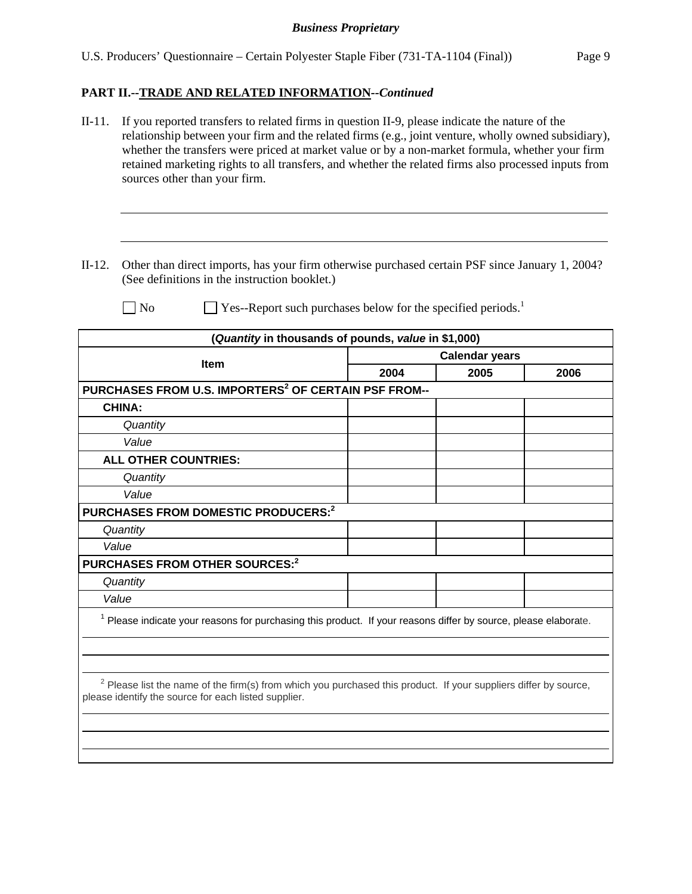### **PART II.--TRADE AND RELATED INFORMATION***--Continued*

- II-11. If you reported transfers to related firms in question II-9, please indicate the nature of the relationship between your firm and the related firms (e.g., joint venture, wholly owned subsidiary), whether the transfers were priced at market value or by a non-market formula, whether your firm retained marketing rights to all transfers, and whether the related firms also processed inputs from sources other than your firm.
- II-12. Other than direct imports, has your firm otherwise purchased certain PSF since January 1, 2004? (See definitions in the instruction booklet.)

l

 $\Box$  No  $\Box$  Yes--Report such purchases below for the specified periods.<sup>1</sup>

| (Quantity in thousands of pounds, value in \$1,000)                                                                                                                                 |                       |      |      |  |
|-------------------------------------------------------------------------------------------------------------------------------------------------------------------------------------|-----------------------|------|------|--|
| <b>Item</b>                                                                                                                                                                         | <b>Calendar years</b> |      |      |  |
|                                                                                                                                                                                     | 2004                  | 2005 | 2006 |  |
| PURCHASES FROM U.S. IMPORTERS <sup>2</sup> OF CERTAIN PSF FROM--                                                                                                                    |                       |      |      |  |
| <b>CHINA:</b>                                                                                                                                                                       |                       |      |      |  |
| Quantity                                                                                                                                                                            |                       |      |      |  |
| Value                                                                                                                                                                               |                       |      |      |  |
| <b>ALL OTHER COUNTRIES:</b>                                                                                                                                                         |                       |      |      |  |
| Quantity                                                                                                                                                                            |                       |      |      |  |
| Value                                                                                                                                                                               |                       |      |      |  |
| PURCHASES FROM DOMESTIC PRODUCERS: <sup>2</sup>                                                                                                                                     |                       |      |      |  |
| Quantity                                                                                                                                                                            |                       |      |      |  |
| Value                                                                                                                                                                               |                       |      |      |  |
| PURCHASES FROM OTHER SOURCES: <sup>2</sup>                                                                                                                                          |                       |      |      |  |
| Quantity                                                                                                                                                                            |                       |      |      |  |
| Value                                                                                                                                                                               |                       |      |      |  |
| $1$ Please indicate your reasons for purchasing this product. If your reasons differ by source, please elaborate.                                                                   |                       |      |      |  |
|                                                                                                                                                                                     |                       |      |      |  |
|                                                                                                                                                                                     |                       |      |      |  |
| <sup>2</sup> Please list the name of the firm(s) from which you purchased this product. If your suppliers differ by source,<br>please identify the source for each listed supplier. |                       |      |      |  |
|                                                                                                                                                                                     |                       |      |      |  |
|                                                                                                                                                                                     |                       |      |      |  |
|                                                                                                                                                                                     |                       |      |      |  |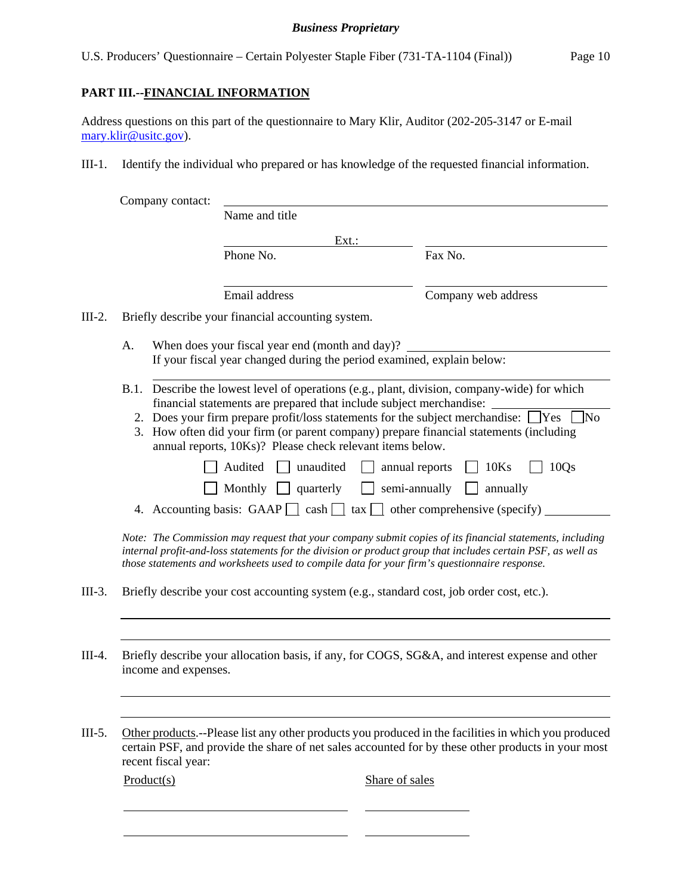U.S. Producers' Questionnaire – Certain Polyester Staple Fiber (731-TA-1104 (Final)) Page 10

## **PART III.--FINANCIAL INFORMATION**

 $\overline{a}$ 

Address questions on this part of the questionnaire to Mary Klir, Auditor (202-205-3147 or E-mail mary.klir@usitc.gov).

III-1. Identify the individual who prepared or has knowledge of the requested financial information.

|          | Company contact:     |                                                                                                                                                                                                                                                                |                                                                                                                                                                                                                                                                                                                                                                                                                                                                                                                                                                                                                                                                                        |
|----------|----------------------|----------------------------------------------------------------------------------------------------------------------------------------------------------------------------------------------------------------------------------------------------------------|----------------------------------------------------------------------------------------------------------------------------------------------------------------------------------------------------------------------------------------------------------------------------------------------------------------------------------------------------------------------------------------------------------------------------------------------------------------------------------------------------------------------------------------------------------------------------------------------------------------------------------------------------------------------------------------|
|          |                      | Name and title                                                                                                                                                                                                                                                 |                                                                                                                                                                                                                                                                                                                                                                                                                                                                                                                                                                                                                                                                                        |
|          |                      | Ext.                                                                                                                                                                                                                                                           |                                                                                                                                                                                                                                                                                                                                                                                                                                                                                                                                                                                                                                                                                        |
|          |                      | Phone No.                                                                                                                                                                                                                                                      | Fax No.                                                                                                                                                                                                                                                                                                                                                                                                                                                                                                                                                                                                                                                                                |
|          |                      | Email address                                                                                                                                                                                                                                                  | Company web address                                                                                                                                                                                                                                                                                                                                                                                                                                                                                                                                                                                                                                                                    |
| $III-2.$ |                      | Briefly describe your financial accounting system.                                                                                                                                                                                                             |                                                                                                                                                                                                                                                                                                                                                                                                                                                                                                                                                                                                                                                                                        |
|          | A.                   | When does your fiscal year end (month and day)?<br>If your fiscal year changed during the period examined, explain below:                                                                                                                                      |                                                                                                                                                                                                                                                                                                                                                                                                                                                                                                                                                                                                                                                                                        |
|          |                      | financial statements are prepared that include subject merchandise:<br>2. Does your firm prepare profit/loss statements for the subject merchandise:<br>annual reports, 10Ks)? Please check relevant items below.<br>Audited<br>unaudited<br>Monthly quarterly | B.1. Describe the lowest level of operations (e.g., plant, division, company-wide) for which<br>7No<br>Yes<br>3. How often did your firm (or parent company) prepare financial statements (including<br>10Ks<br>10Qs<br>annual reports<br>semi-annually<br>annually<br>4. Accounting basis: GAAP $\Box$ cash $\Box$ tax $\Box$ other comprehensive (specify)<br>Note: The Commission may request that your company submit copies of its financial statements, including<br>internal profit-and-loss statements for the division or product group that includes certain PSF, as well as<br>those statements and worksheets used to compile data for your firm's questionnaire response. |
| $III-3.$ |                      |                                                                                                                                                                                                                                                                | Briefly describe your cost accounting system (e.g., standard cost, job order cost, etc.).                                                                                                                                                                                                                                                                                                                                                                                                                                                                                                                                                                                              |
| $III-4.$ | income and expenses. |                                                                                                                                                                                                                                                                | Briefly describe your allocation basis, if any, for COGS, SG&A, and interest expense and other                                                                                                                                                                                                                                                                                                                                                                                                                                                                                                                                                                                         |
| $III-5.$ | recent fiscal year:  |                                                                                                                                                                                                                                                                | Other products.--Please list any other products you produced in the facilities in which you produced<br>certain PSF, and provide the share of net sales accounted for by these other products in your most                                                                                                                                                                                                                                                                                                                                                                                                                                                                             |
|          | Product(s)           |                                                                                                                                                                                                                                                                | Share of sales                                                                                                                                                                                                                                                                                                                                                                                                                                                                                                                                                                                                                                                                         |
|          |                      |                                                                                                                                                                                                                                                                |                                                                                                                                                                                                                                                                                                                                                                                                                                                                                                                                                                                                                                                                                        |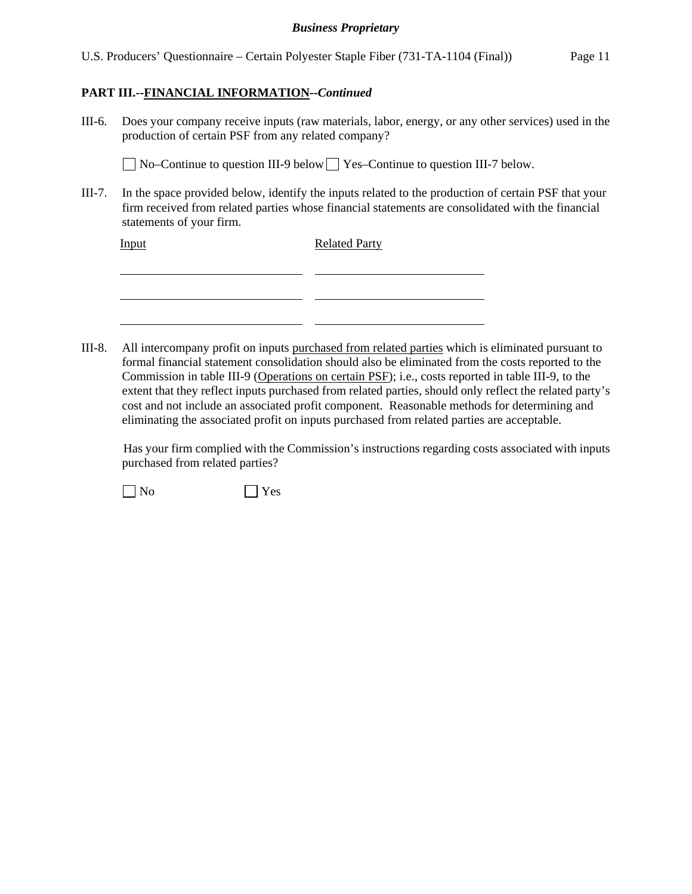U.S. Producers' Questionnaire – Certain Polyester Staple Fiber (731-TA-1104 (Final)) Page 11

### **PART III.--FINANCIAL INFORMATION***--Continued*

III-6. Does your company receive inputs (raw materials, labor, energy, or any other services) used in the production of certain PSF from any related company?

No–Continue to question III-9 below Yes–Continue to question III-7 below.

III-7. In the space provided below, identify the inputs related to the production of certain PSF that your firm received from related parties whose financial statements are consolidated with the financial statements of your firm.

Input Related Party

| _                                                                                                               |                                                                                                                 |
|-----------------------------------------------------------------------------------------------------------------|-----------------------------------------------------------------------------------------------------------------|
| the contract of the contract of the contract of                                                                 | the contract of the contract of the contract of the contract of the contract of the contract of the contract of |
|                                                                                                                 |                                                                                                                 |
| the contract of the contract of the contract of the contract of the contract of the contract of the contract of | the contract of the contract of the contract of the contract of the contract of the contract of the contract of |

III-8. All intercompany profit on inputs purchased from related parties which is eliminated pursuant to formal financial statement consolidation should also be eliminated from the costs reported to the Commission in table III-9 (Operations on certain PSF); i.e., costs reported in table III-9, to the extent that they reflect inputs purchased from related parties, should only reflect the related party's cost and not include an associated profit component. Reasonable methods for determining and eliminating the associated profit on inputs purchased from related parties are acceptable.

 Has your firm complied with the Commission's instructions regarding costs associated with inputs purchased from related parties?

 $\neg$  No  $\neg$  Yes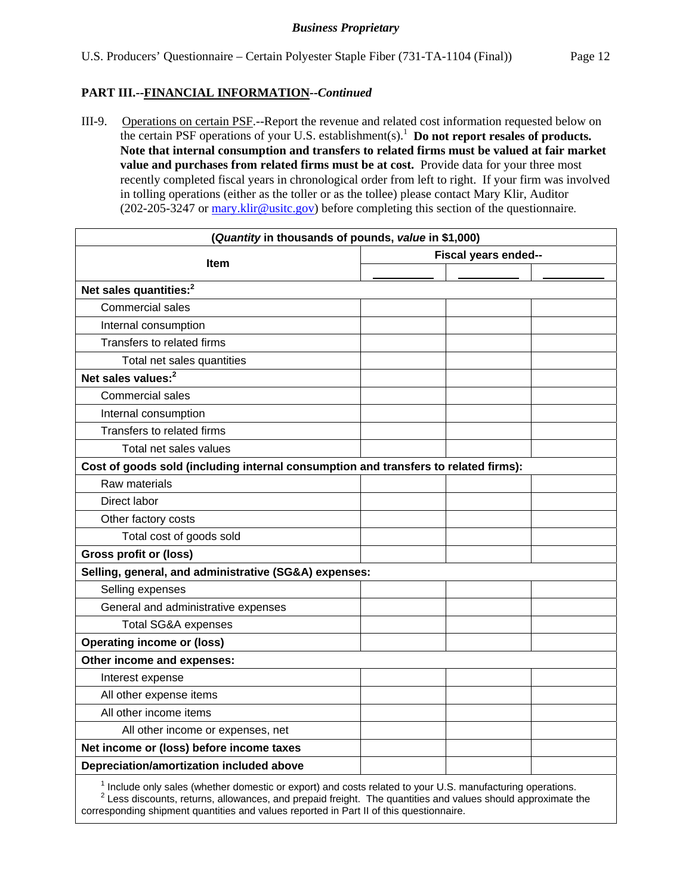### **PART III.--FINANCIAL INFORMATION***--Continued*

III-9. Operations on certain PSF.--Report the revenue and related cost information requested below on the certain PSF operations of your U.S. establishment(s).<sup>1</sup> Do not report resales of products. **Note that internal consumption and transfers to related firms must be valued at fair market value and purchases from related firms must be at cost.** Provide data for your three most recently completed fiscal years in chronological order from left to right. If your firm was involved in tolling operations (either as the toller or as the tollee) please contact Mary Klir, Auditor (202-205-3247 or mary.klir@usitc.gov) before completing this section of the questionnaire.

| (Quantity in thousands of pounds, value in \$1,000)                                                                   |                      |
|-----------------------------------------------------------------------------------------------------------------------|----------------------|
| <b>Item</b>                                                                                                           | Fiscal years ended-- |
|                                                                                                                       |                      |
| Net sales quantities: <sup>2</sup>                                                                                    |                      |
| <b>Commercial sales</b>                                                                                               |                      |
| Internal consumption                                                                                                  |                      |
| Transfers to related firms                                                                                            |                      |
| Total net sales quantities                                                                                            |                      |
| Net sales values: <sup>2</sup>                                                                                        |                      |
| <b>Commercial sales</b>                                                                                               |                      |
| Internal consumption                                                                                                  |                      |
| Transfers to related firms                                                                                            |                      |
| Total net sales values                                                                                                |                      |
| Cost of goods sold (including internal consumption and transfers to related firms):                                   |                      |
| Raw materials                                                                                                         |                      |
| Direct labor                                                                                                          |                      |
| Other factory costs                                                                                                   |                      |
| Total cost of goods sold                                                                                              |                      |
| <b>Gross profit or (loss)</b>                                                                                         |                      |
| Selling, general, and administrative (SG&A) expenses:                                                                 |                      |
| Selling expenses                                                                                                      |                      |
| General and administrative expenses                                                                                   |                      |
| <b>Total SG&amp;A expenses</b>                                                                                        |                      |
| <b>Operating income or (loss)</b>                                                                                     |                      |
| Other income and expenses:                                                                                            |                      |
| Interest expense                                                                                                      |                      |
| All other expense items                                                                                               |                      |
| All other income items                                                                                                |                      |
| All other income or expenses, net                                                                                     |                      |
| Net income or (loss) before income taxes                                                                              |                      |
| Depreciation/amortization included above                                                                              |                      |
| <sup>1</sup> Include only sales (whether domestic or export) and costs related to your U.S. manufacturing operations. |                      |

 $^{\rm 1}$  Include only sales (whether domestic or export) and costs related to your U.S. manufacturing operations.<br><sup>2</sup> Less discounts, returns, allowances, and prepaid freight. The quantities and values should approximate corresponding shipment quantities and values reported in Part II of this questionnaire.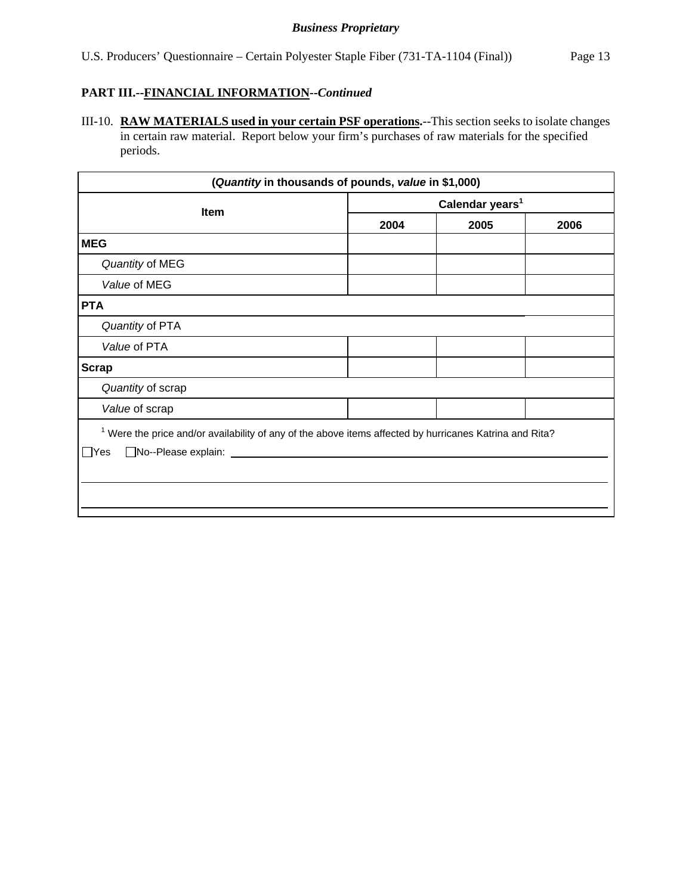## **PART III.--FINANCIAL INFORMATION***--Continued*

III-10. **RAW MATERIALS used in your certain PSF operations.**--This section seeks to isolate changes in certain raw material. Report below your firm's purchases of raw materials for the specified periods.

| (Quantity in thousands of pounds, value in \$1,000)                                                                                                                                   |                             |  |  |  |
|---------------------------------------------------------------------------------------------------------------------------------------------------------------------------------------|-----------------------------|--|--|--|
| <b>Item</b>                                                                                                                                                                           | Calendar years <sup>1</sup> |  |  |  |
|                                                                                                                                                                                       | 2004<br>2005<br>2006        |  |  |  |
| <b>MEG</b>                                                                                                                                                                            |                             |  |  |  |
| Quantity of MEG                                                                                                                                                                       |                             |  |  |  |
| Value of MEG                                                                                                                                                                          |                             |  |  |  |
| <b>PTA</b>                                                                                                                                                                            |                             |  |  |  |
| Quantity of PTA                                                                                                                                                                       |                             |  |  |  |
| Value of PTA                                                                                                                                                                          |                             |  |  |  |
| <b>Scrap</b>                                                                                                                                                                          |                             |  |  |  |
| Quantity of scrap                                                                                                                                                                     |                             |  |  |  |
| Value of scrap                                                                                                                                                                        |                             |  |  |  |
| $1$ Were the price and/or availability of any of the above items affected by hurricanes Katrina and Rita?<br>□No--Please explain: <u>___________________________________</u><br>∣ Yes |                             |  |  |  |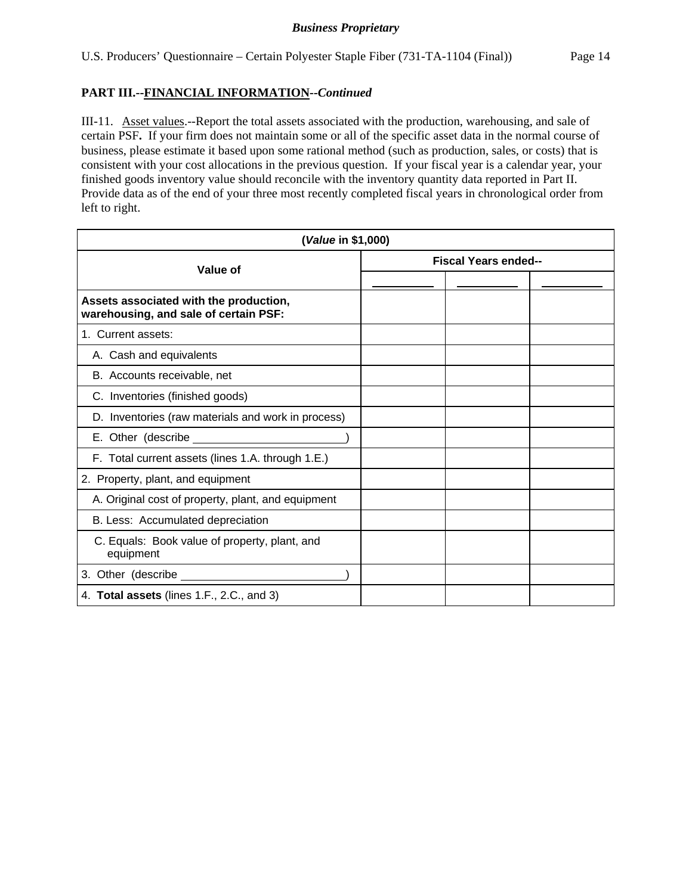### **PART III.--FINANCIAL INFORMATION***--Continued*

III-11. Asset values.--Report the total assets associated with the production, warehousing, and sale of certain PSF**.** If your firm does not maintain some or all of the specific asset data in the normal course of business, please estimate it based upon some rational method (such as production, sales, or costs) that is consistent with your cost allocations in the previous question. If your fiscal year is a calendar year, your finished goods inventory value should reconcile with the inventory quantity data reported in Part II. Provide data as of the end of your three most recently completed fiscal years in chronological order from left to right.

| (Value in \$1,000)                                                              |                             |  |  |
|---------------------------------------------------------------------------------|-----------------------------|--|--|
| Value of                                                                        | <b>Fiscal Years ended--</b> |  |  |
|                                                                                 |                             |  |  |
| Assets associated with the production,<br>warehousing, and sale of certain PSF: |                             |  |  |
| 1. Current assets:                                                              |                             |  |  |
| A. Cash and equivalents                                                         |                             |  |  |
| B. Accounts receivable, net                                                     |                             |  |  |
| C. Inventories (finished goods)                                                 |                             |  |  |
| D. Inventories (raw materials and work in process)                              |                             |  |  |
| E. Other (describe __________                                                   |                             |  |  |
| F. Total current assets (lines 1.A. through 1.E.)                               |                             |  |  |
| 2. Property, plant, and equipment                                               |                             |  |  |
| A. Original cost of property, plant, and equipment                              |                             |  |  |
| B. Less: Accumulated depreciation                                               |                             |  |  |
| C. Equals: Book value of property, plant, and<br>equipment                      |                             |  |  |
| 3. Other (describe _________                                                    |                             |  |  |
| 4. Total assets (lines 1.F., 2.C., and 3)                                       |                             |  |  |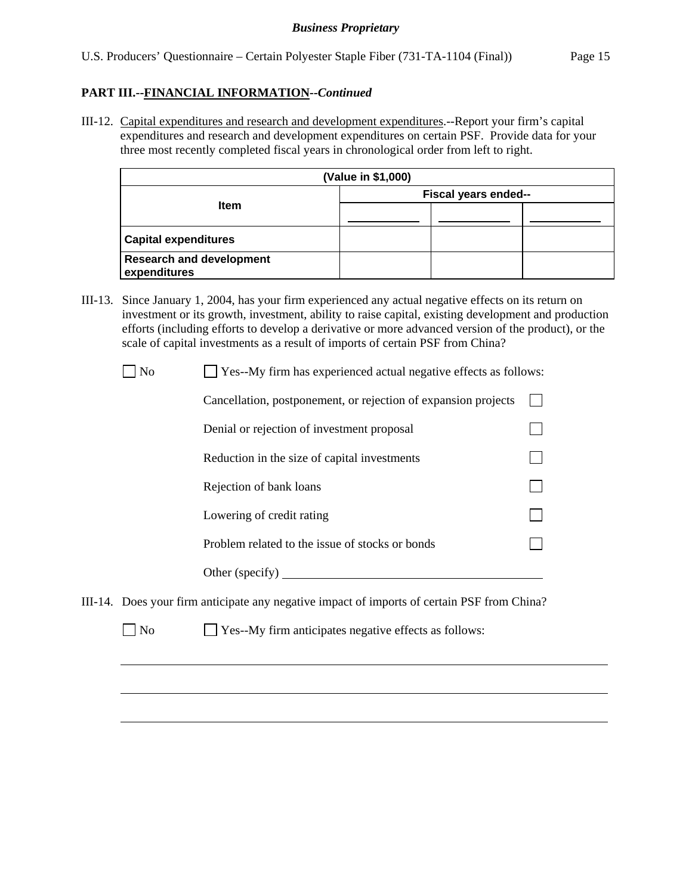### **PART III.--FINANCIAL INFORMATION***--Continued*

III-12. Capital expenditures and research and development expenditures.--Report your firm's capital expenditures and research and development expenditures on certain PSF. Provide data for your three most recently completed fiscal years in chronological order from left to right.

| (Value in \$1,000)                              |                      |  |  |  |
|-------------------------------------------------|----------------------|--|--|--|
|                                                 | Fiscal years ended-- |  |  |  |
| <b>Item</b>                                     |                      |  |  |  |
| <b>Capital expenditures</b>                     |                      |  |  |  |
| <b>Research and development</b><br>expenditures |                      |  |  |  |

III-13. Since January 1, 2004, has your firm experienced any actual negative effects on its return on investment or its growth, investment, ability to raise capital, existing development and production efforts (including efforts to develop a derivative or more advanced version of the product), or the scale of capital investments as a result of imports of certain PSF from China?

No  $\Box$  Yes--My firm has experienced actual negative effects as follows:

| Cancellation, postponement, or rejection of expansion projects |  |
|----------------------------------------------------------------|--|
| Denial or rejection of investment proposal                     |  |
| Reduction in the size of capital investments                   |  |
| Rejection of bank loans                                        |  |
| Lowering of credit rating                                      |  |
| Problem related to the issue of stocks or bonds                |  |
| Other (specify)                                                |  |

- III-14. Does your firm anticipate any negative impact of imports of certain PSF from China?
	- No **Yes--My firm anticipates negative effects as follows:**

l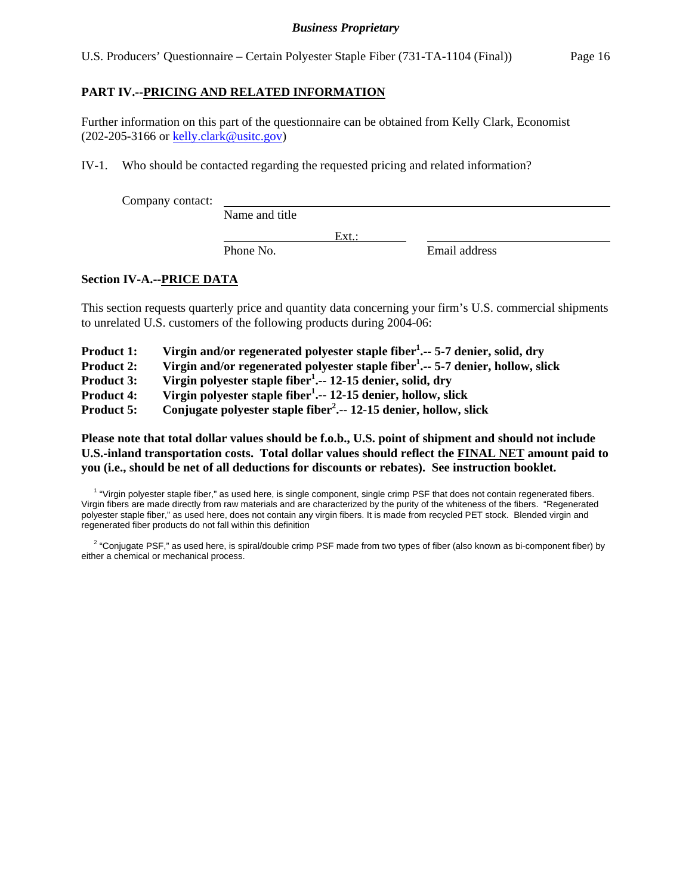U.S. Producers' Questionnaire – Certain Polyester Staple Fiber (731-TA-1104 (Final)) Page 16

### **PART IV.--PRICING AND RELATED INFORMATION**

Further information on this part of the questionnaire can be obtained from Kelly Clark, Economist (202-205-3166 or kelly.clark@usitc.gov)

IV-1. Who should be contacted regarding the requested pricing and related information?

Company contact:

Name and title

Phone No. **Email address** 

### **Section IV-A.--PRICE DATA**

This section requests quarterly price and quantity data concerning your firm's U.S. commercial shipments to unrelated U.S. customers of the following products during 2004-06:

Ext.:

| <b>Product 1:</b> | Virgin and/or regenerated polyester staple fiber <sup>1</sup> 5-7 denier, solid, dry |  |  |  |  |
|-------------------|--------------------------------------------------------------------------------------|--|--|--|--|
|-------------------|--------------------------------------------------------------------------------------|--|--|--|--|

Product 2: Virgin and/or regenerated polyester staple fiber<sup>1</sup>.-- 5-7 denier, hollow, slick

Product 3: Virgin polyester staple fiber<sup>1</sup>. -- 12-15 denier, solid, dry

**Product 4: Virgin polyester staple fiber1 .-- 12-15 denier, hollow, slick** 

**Product 5: Conjugate polyester staple fiber<sup>2</sup> .-- 12-15 denier, hollow, slick** 

### **Please note that total dollar values should be f.o.b., U.S. point of shipment and should not include U.S.-inland transportation costs. Total dollar values should reflect the FINAL NET amount paid to you (i.e., should be net of all deductions for discounts or rebates). See instruction booklet.**

<sup>1</sup> "Virgin polyester staple fiber," as used here, is single component, single crimp PSF that does not contain regenerated fibers. Virgin fibers are made directly from raw materials and are characterized by the purity of the whiteness of the fibers. "Regenerated polyester staple fiber," as used here, does not contain any virgin fibers. It is made from recycled PET stock. Blended virgin and regenerated fiber products do not fall within this definition

<sup>2</sup> "Conjugate PSF," as used here, is spiral/double crimp PSF made from two types of fiber (also known as bi-component fiber) by either a chemical or mechanical process.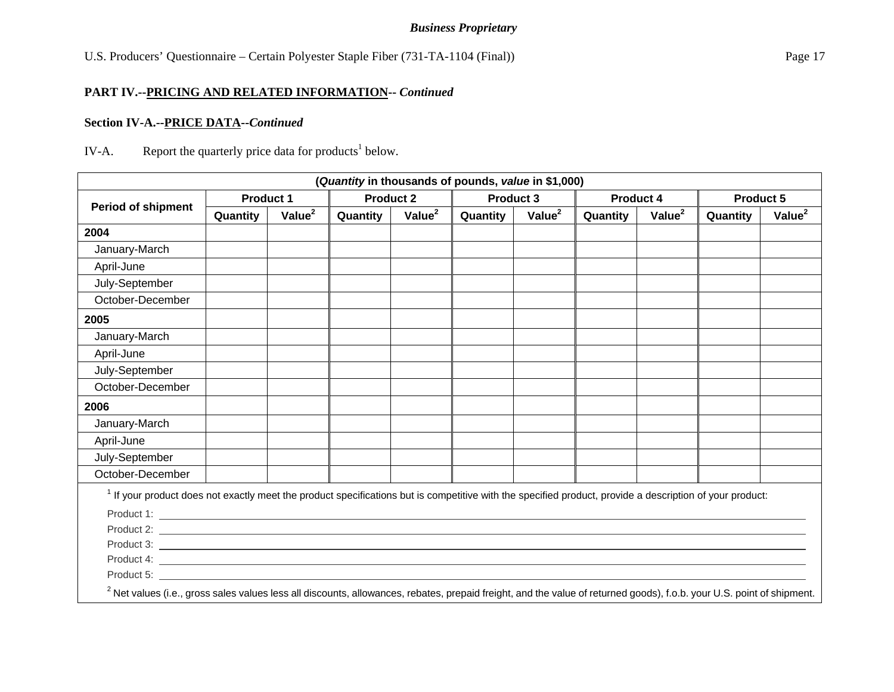U.S. Producers' Questionnaire – Certain Polyester Staple Fiber (731-TA-1104 (Final)) Page 17

### **PART IV.--PRICING AND RELATED INFORMATION--** *Continued*

### **Section IV-A.--PRICE DATA--***Continued*

## IV-A. Report the quarterly price data for products<sup>1</sup> below.

|                                                                                                                                                                                                                                |                  |                    | (Quantity in thousands of pounds, value in \$1,000) |                    |                  |                    |                  |                    |                  |                    |
|--------------------------------------------------------------------------------------------------------------------------------------------------------------------------------------------------------------------------------|------------------|--------------------|-----------------------------------------------------|--------------------|------------------|--------------------|------------------|--------------------|------------------|--------------------|
|                                                                                                                                                                                                                                | <b>Product 1</b> |                    | <b>Product 2</b>                                    |                    | <b>Product 3</b> |                    | <b>Product 4</b> |                    | <b>Product 5</b> |                    |
| <b>Period of shipment</b>                                                                                                                                                                                                      | Quantity         | Value <sup>2</sup> | Quantity                                            | Value <sup>2</sup> | Quantity         | Value <sup>2</sup> | Quantity         | Value <sup>2</sup> | Quantity         | Value <sup>2</sup> |
| 2004                                                                                                                                                                                                                           |                  |                    |                                                     |                    |                  |                    |                  |                    |                  |                    |
| January-March                                                                                                                                                                                                                  |                  |                    |                                                     |                    |                  |                    |                  |                    |                  |                    |
| April-June                                                                                                                                                                                                                     |                  |                    |                                                     |                    |                  |                    |                  |                    |                  |                    |
| July-September                                                                                                                                                                                                                 |                  |                    |                                                     |                    |                  |                    |                  |                    |                  |                    |
| October-December                                                                                                                                                                                                               |                  |                    |                                                     |                    |                  |                    |                  |                    |                  |                    |
| 2005                                                                                                                                                                                                                           |                  |                    |                                                     |                    |                  |                    |                  |                    |                  |                    |
| January-March                                                                                                                                                                                                                  |                  |                    |                                                     |                    |                  |                    |                  |                    |                  |                    |
| April-June                                                                                                                                                                                                                     |                  |                    |                                                     |                    |                  |                    |                  |                    |                  |                    |
| July-September                                                                                                                                                                                                                 |                  |                    |                                                     |                    |                  |                    |                  |                    |                  |                    |
| October-December                                                                                                                                                                                                               |                  |                    |                                                     |                    |                  |                    |                  |                    |                  |                    |
| 2006                                                                                                                                                                                                                           |                  |                    |                                                     |                    |                  |                    |                  |                    |                  |                    |
| January-March                                                                                                                                                                                                                  |                  |                    |                                                     |                    |                  |                    |                  |                    |                  |                    |
| April-June                                                                                                                                                                                                                     |                  |                    |                                                     |                    |                  |                    |                  |                    |                  |                    |
| July-September                                                                                                                                                                                                                 |                  |                    |                                                     |                    |                  |                    |                  |                    |                  |                    |
| October-December                                                                                                                                                                                                               |                  |                    |                                                     |                    |                  |                    |                  |                    |                  |                    |
| <sup>1</sup> If your product does not exactly meet the product specifications but is competitive with the specified product, provide a description of your product:                                                            |                  |                    |                                                     |                    |                  |                    |                  |                    |                  |                    |
|                                                                                                                                                                                                                                |                  |                    |                                                     |                    |                  |                    |                  |                    |                  |                    |
|                                                                                                                                                                                                                                |                  |                    |                                                     |                    |                  |                    |                  |                    |                  |                    |
|                                                                                                                                                                                                                                |                  |                    |                                                     |                    |                  |                    |                  |                    |                  |                    |
|                                                                                                                                                                                                                                |                  |                    |                                                     |                    |                  |                    |                  |                    |                  |                    |
| Product 5: the contract of the contract of the contract of the contract of the contract of the contract of the contract of the contract of the contract of the contract of the contract of the contract of the contract of the |                  |                    |                                                     |                    |                  |                    |                  |                    |                  |                    |
| <sup>2</sup> Net values (i.e., gross sales values less all discounts, allowances, rebates, prepaid freight, and the value of returned goods), f.o.b. your U.S. point of shipment.                                              |                  |                    |                                                     |                    |                  |                    |                  |                    |                  |                    |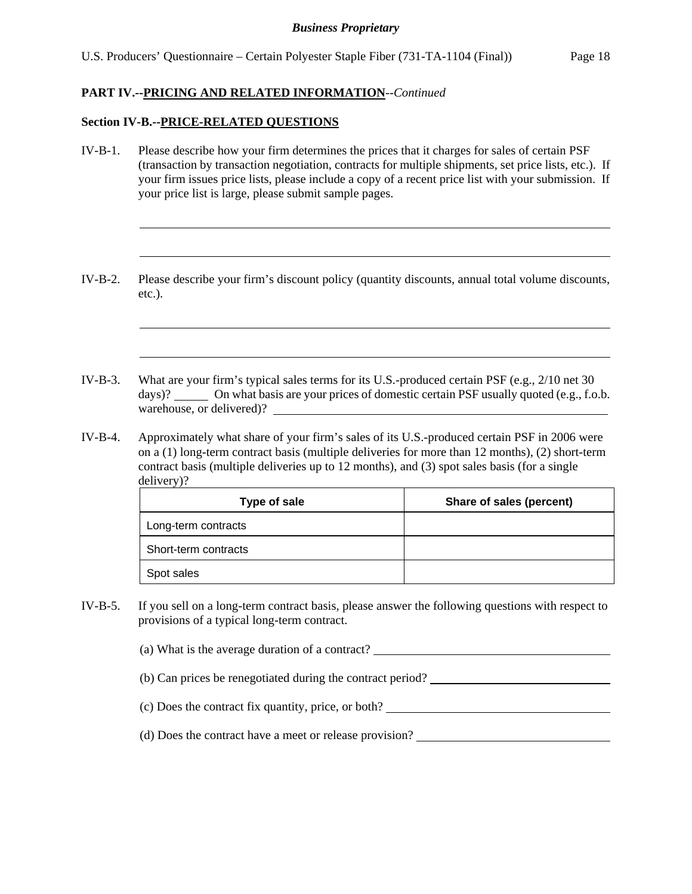### **PART IV.--PRICING AND RELATED INFORMATION**--*Continued*

### **Section IV-B.--PRICE-RELATED QUESTIONS**

l

l

- IV-B-1. Please describe how your firm determines the prices that it charges for sales of certain PSF (transaction by transaction negotiation, contracts for multiple shipments, set price lists, etc.). If your firm issues price lists, please include a copy of a recent price list with your submission. If your price list is large, please submit sample pages.
- IV-B-2. Please describe your firm's discount policy (quantity discounts, annual total volume discounts, etc.).
- IV-B-3. What are your firm's typical sales terms for its U.S.-produced certain PSF (e.g., 2/10 net 30 days)? On what basis are your prices of domestic certain PSF usually quoted (e.g., f.o.b. warehouse, or delivered)?
- IV-B-4. Approximately what share of your firm's sales of its U.S.-produced certain PSF in 2006 were on a (1) long-term contract basis (multiple deliveries for more than 12 months), (2) short-term contract basis (multiple deliveries up to 12 months), and (3) spot sales basis (for a single delivery)?

| Type of sale         | Share of sales (percent) |
|----------------------|--------------------------|
| Long-term contracts  |                          |
| Short-term contracts |                          |
| Spot sales           |                          |

IV-B-5. If you sell on a long-term contract basis, please answer the following questions with respect to provisions of a typical long-term contract.

(a) What is the average duration of a contract?

(b) Can prices be renegotiated during the contract period?

(c) Does the contract fix quantity, price, or both?

(d) Does the contract have a meet or release provision?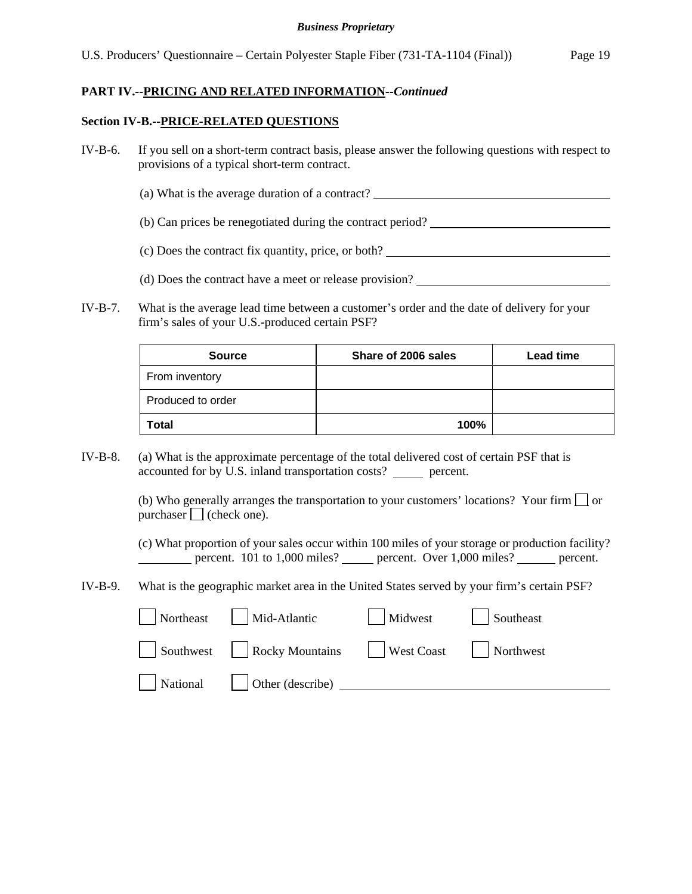### **PART IV.--PRICING AND RELATED INFORMATION***--Continued*

### **Section IV-B.--PRICE-RELATED QUESTIONS**

- IV-B-6. If you sell on a short-term contract basis, please answer the following questions with respect to provisions of a typical short-term contract.
	- (a) What is the average duration of a contract?
	- (b) Can prices be renegotiated during the contract period?
	- (c) Does the contract fix quantity, price, or both?
	- (d) Does the contract have a meet or release provision?
- IV-B-7. What is the average lead time between a customer's order and the date of delivery for your firm's sales of your U.S.-produced certain PSF?

| <b>Source</b>     | Share of 2006 sales | <b>Lead time</b> |
|-------------------|---------------------|------------------|
| From inventory    |                     |                  |
| Produced to order |                     |                  |
| <b>Total</b>      | 100%                |                  |

IV-B-8. (a) What is the approximate percentage of the total delivered cost of certain PSF that is accounted for by U.S. inland transportation costs? \_\_\_\_\_\_ percent.

> (b) Who generally arranges the transportation to your customers' locations? Your firm  $\Box$  or purchaser  $\Box$  (check one).

(c) What proportion of your sales occur within 100 miles of your storage or production facility? percent. 101 to 1,000 miles? percent. Over 1,000 miles? percent.

IV-B-9. What is the geographic market area in the United States served by your firm's certain PSF?

| Northeast | Mid-Atlantic           | Midwest           | Southeast |
|-----------|------------------------|-------------------|-----------|
| Southwest | <b>Rocky Mountains</b> | <b>West Coast</b> | Northwest |
| National  | Other (describe)       |                   |           |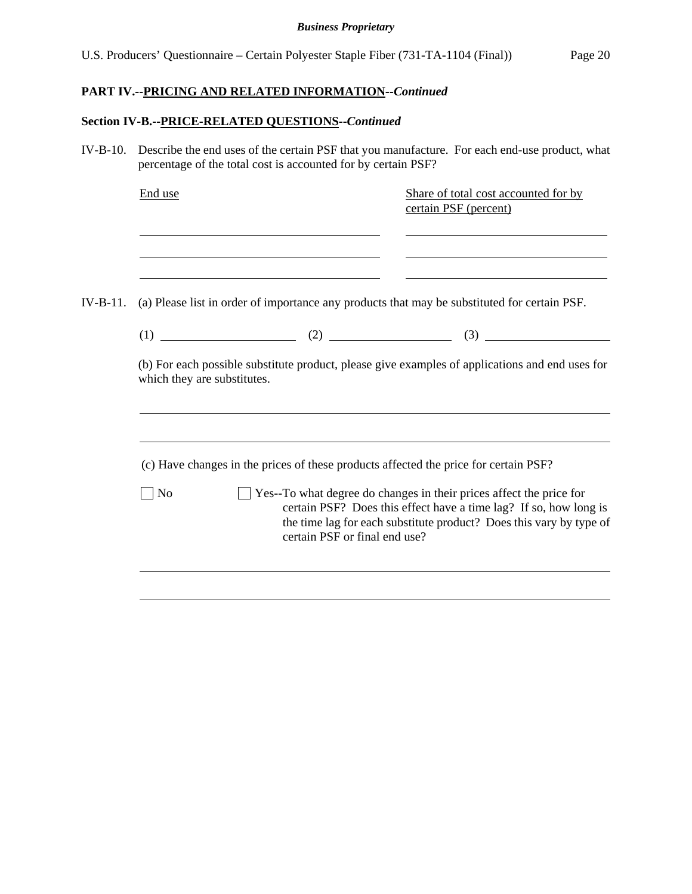## **PART IV.--PRICING AND RELATED INFORMATION***--Continued*

## **Section IV-B.--PRICE-RELATED QUESTIONS--***Continued*

| IV-B-10. Describe the end uses of the certain PSF that you manufacture. For each end-use product, what |  |
|--------------------------------------------------------------------------------------------------------|--|
| percentage of the total cost is accounted for by certain PSF?                                          |  |

|            | End use                     |                                                                                      | Share of total cost accounted for by<br>certain PSF (percent)                                                                                                                                                         |  |  |
|------------|-----------------------------|--------------------------------------------------------------------------------------|-----------------------------------------------------------------------------------------------------------------------------------------------------------------------------------------------------------------------|--|--|
| $IV-B-11.$ |                             |                                                                                      | <u> 1980 - Johann Stoff, deutscher Stoff, der Stoff, der Stoff, der Stoff, der Stoff, der Stoff, der Stoff, der S</u><br>(a) Please list in order of importance any products that may be substituted for certain PSF. |  |  |
|            |                             |                                                                                      |                                                                                                                                                                                                                       |  |  |
|            | which they are substitutes. |                                                                                      | (b) For each possible substitute product, please give examples of applications and end uses for                                                                                                                       |  |  |
|            |                             | (c) Have changes in the prices of these products affected the price for certain PSF? |                                                                                                                                                                                                                       |  |  |
|            | N <sub>0</sub>              | certain PSF or final end use?                                                        | Yes--To what degree do changes in their prices affect the price for<br>certain PSF? Does this effect have a time lag? If so, how long is<br>the time lag for each substitute product? Does this vary by type of       |  |  |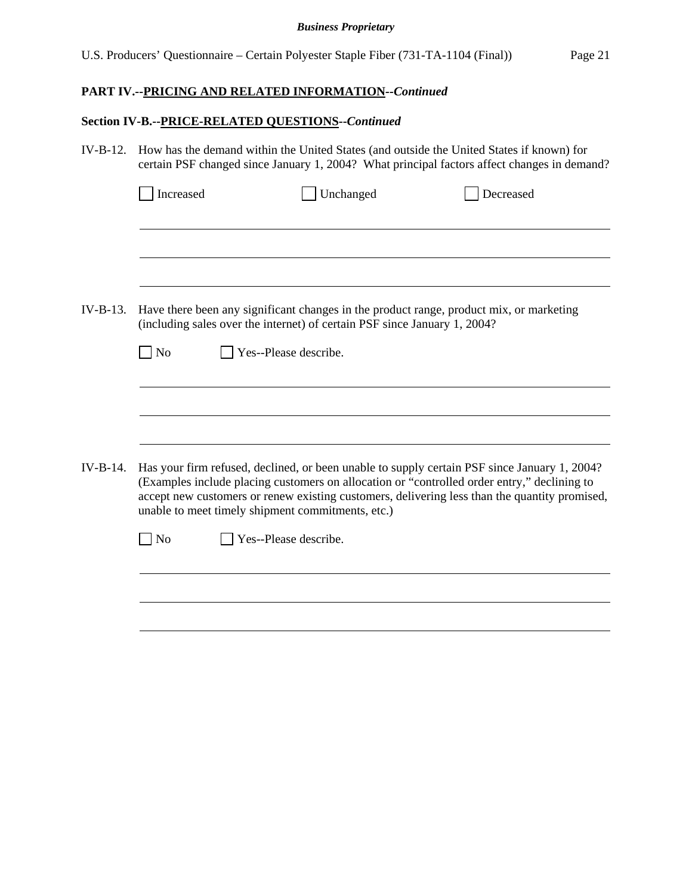## **PART IV.--PRICING AND RELATED INFORMATION***--Continued*

## **Section IV-B.--PRICE-RELATED QUESTIONS--***Continued*

| $IV-B-12.$ | How has the demand within the United States (and outside the United States if known) for<br>certain PSF changed since January 1, 2004? What principal factors affect changes in demand? |                       |                                                                           |                                                                                                                                                                                                                                                                                              |  |  |
|------------|-----------------------------------------------------------------------------------------------------------------------------------------------------------------------------------------|-----------------------|---------------------------------------------------------------------------|----------------------------------------------------------------------------------------------------------------------------------------------------------------------------------------------------------------------------------------------------------------------------------------------|--|--|
|            | Increased                                                                                                                                                                               |                       | Unchanged                                                                 | Decreased                                                                                                                                                                                                                                                                                    |  |  |
| $IV-B-13.$ | $\Box$ No                                                                                                                                                                               | Yes--Please describe. | (including sales over the internet) of certain PSF since January 1, 2004? | Have there been any significant changes in the product range, product mix, or marketing                                                                                                                                                                                                      |  |  |
|            |                                                                                                                                                                                         |                       |                                                                           |                                                                                                                                                                                                                                                                                              |  |  |
| $IV-B-14.$ |                                                                                                                                                                                         |                       | unable to meet timely shipment commitments, etc.)                         | Has your firm refused, declined, or been unable to supply certain PSF since January 1, 2004?<br>(Examples include placing customers on allocation or "controlled order entry," declining to<br>accept new customers or renew existing customers, delivering less than the quantity promised, |  |  |
|            | N <sub>o</sub>                                                                                                                                                                          | Yes--Please describe. |                                                                           |                                                                                                                                                                                                                                                                                              |  |  |
|            |                                                                                                                                                                                         |                       |                                                                           |                                                                                                                                                                                                                                                                                              |  |  |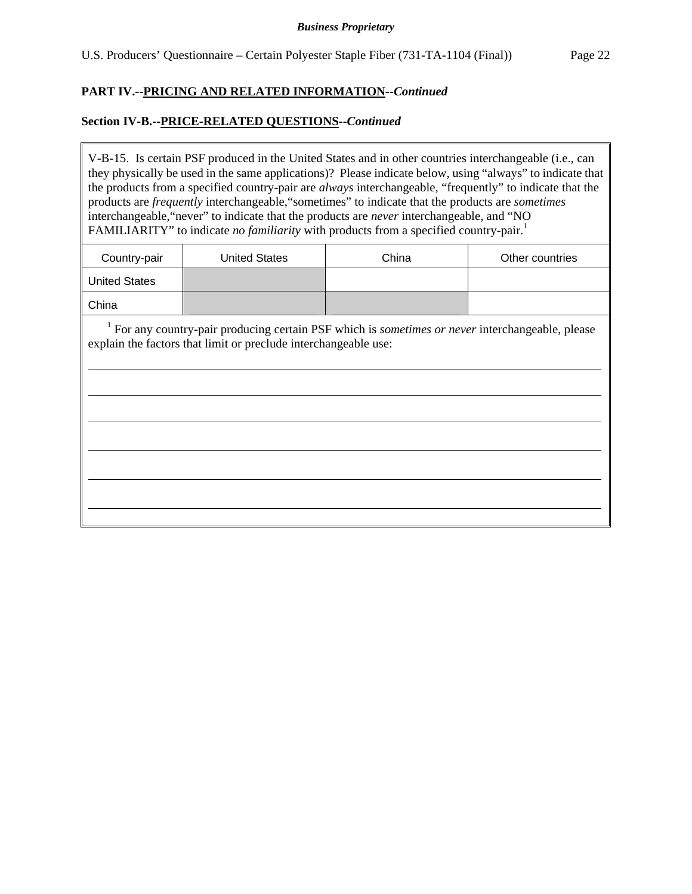### **PART IV.--PRICING AND RELATED INFORMATION***--Continued*

### **Section IV-B.--PRICE-RELATED QUESTIONS--***Continued*

 $\overline{a}$ 

V-B-15. Is certain PSF produced in the United States and in other countries interchangeable (i.e., can they physically be used in the same applications)? Please indicate below, using "always" to indicate that the products from a specified country-pair are *always* interchangeable, "frequently" to indicate that the products are *frequently* interchangeable,"sometimes" to indicate that the products are *sometimes* interchangeable,"never" to indicate that the products are *never* interchangeable, and "NO FAMILIARITY" to indicate *no familiarity* with products from a specified country-pair.<sup>1</sup>

| Country-pair         | <b>United States</b> | China | Other countries |
|----------------------|----------------------|-------|-----------------|
| <b>United States</b> |                      |       |                 |
| China                |                      |       |                 |

<sup>1</sup> For any country-pair producing certain PSF which is *sometimes or never* interchangeable, please explain the factors that limit or preclude interchangeable use: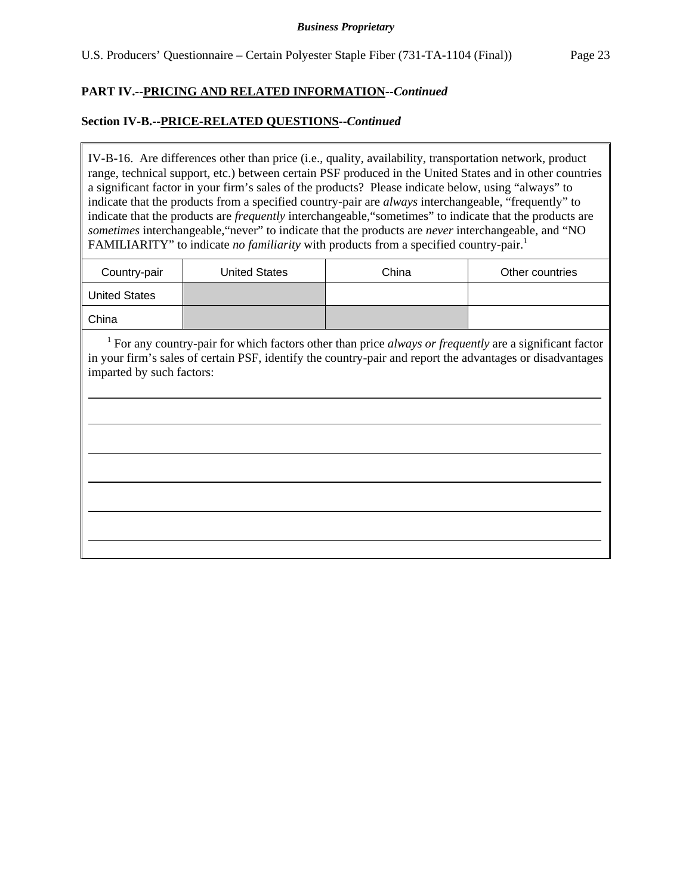### **PART IV.--PRICING AND RELATED INFORMATION***--Continued*

### **Section IV-B.--PRICE-RELATED QUESTIONS--***Continued*

 $\overline{a}$ 

IV-B-16. Are differences other than price (i.e., quality, availability, transportation network, product range, technical support, etc.) between certain PSF produced in the United States and in other countries a significant factor in your firm's sales of the products? Please indicate below, using "always" to indicate that the products from a specified country-pair are *always* interchangeable, "frequently" to indicate that the products are *frequently* interchangeable,"sometimes" to indicate that the products are *sometimes* interchangeable,"never" to indicate that the products are *never* interchangeable, and "NO FAMILIARITY" to indicate *no familiarity* with products from a specified country-pair.<sup>1</sup>

| Country-pair         | <b>United States</b> | China | Other countries |
|----------------------|----------------------|-------|-----------------|
| <b>United States</b> |                      |       |                 |
| China                |                      |       |                 |

<sup>1</sup> For any country-pair for which factors other than price *always or frequently* are a significant factor in your firm's sales of certain PSF, identify the country-pair and report the advantages or disadvantages imparted by such factors: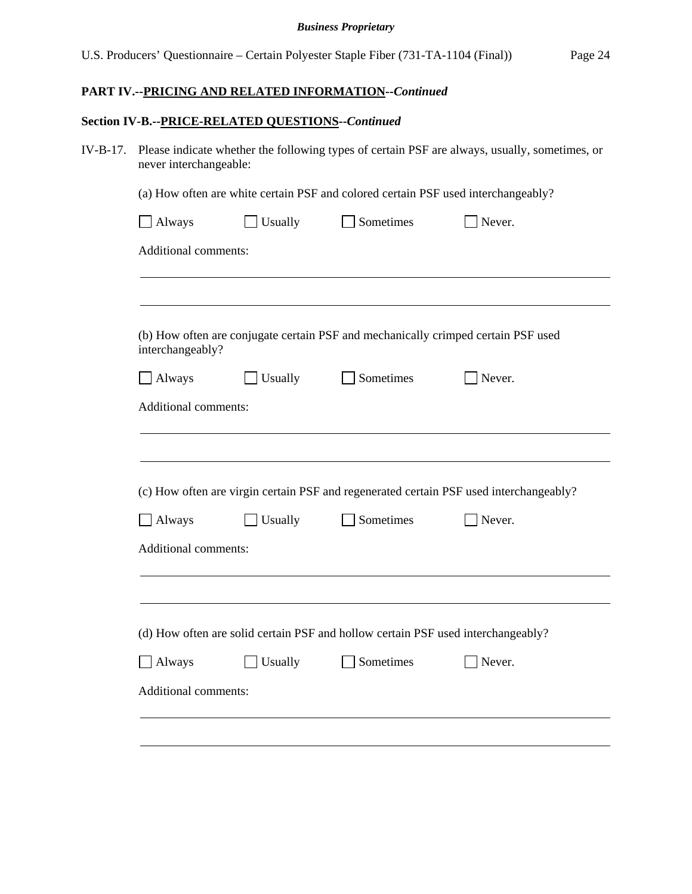## **PART IV.--PRICING AND RELATED INFORMATION***--Continued*

## **Section IV-B.--PRICE-RELATED QUESTIONS--***Continued*

| IV-B-17. Please indicate whether the following types of certain PSF are always, usually, sometimes, or |
|--------------------------------------------------------------------------------------------------------|
| never interchangeable:                                                                                 |

(a) How often are white certain PSF and colored certain PSF used interchangeably?

| interchangeably?                      |         |                                                                                  | (b) How often are conjugate certain PSF and mechanically crimped certain PSF used      |
|---------------------------------------|---------|----------------------------------------------------------------------------------|----------------------------------------------------------------------------------------|
| Always                                | Usually | Sometimes                                                                        | Never.                                                                                 |
|                                       |         |                                                                                  |                                                                                        |
| Additional comments:<br>$\Box$ Always | Usually | Sometimes                                                                        | Never.                                                                                 |
| Additional comments:                  |         |                                                                                  |                                                                                        |
|                                       |         |                                                                                  | (c) How often are virgin certain PSF and regenerated certain PSF used interchangeably? |
|                                       |         | (d) How often are solid certain PSF and hollow certain PSF used interchangeably? |                                                                                        |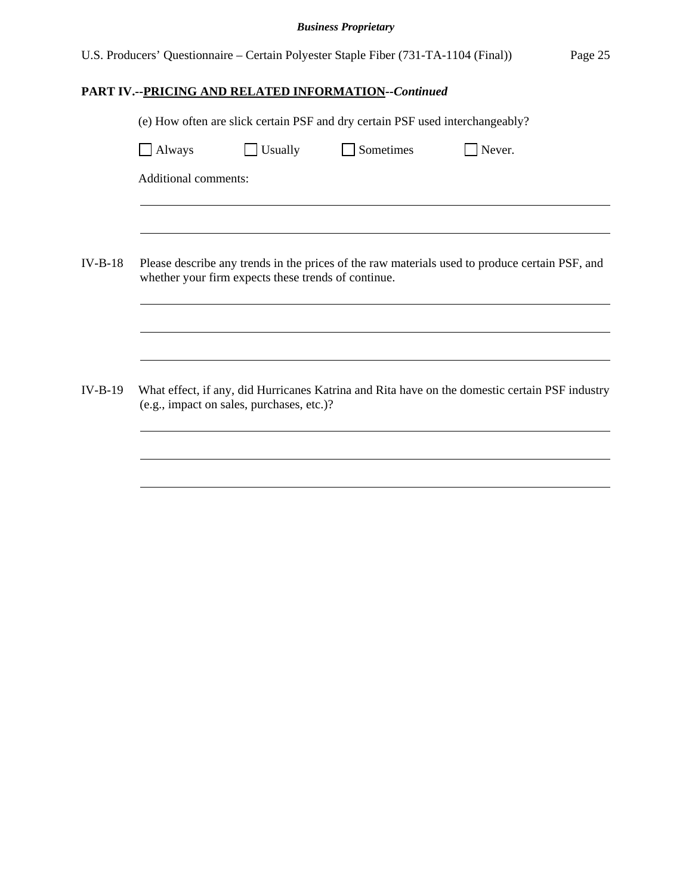U.S. Producers' Questionnaire – Certain Polyester Staple Fiber (731-TA-1104 (Final)) Page 25

## **PART IV.--PRICING AND RELATED INFORMATION***--Continued*

|                             |                                                     | (e) How often are slick certain PSF and dry certain PSF used interchangeably? |                                                                                                |  |
|-----------------------------|-----------------------------------------------------|-------------------------------------------------------------------------------|------------------------------------------------------------------------------------------------|--|
| <b>Always</b>               | Usually                                             | Sometimes                                                                     | Never.                                                                                         |  |
| <b>Additional comments:</b> |                                                     |                                                                               |                                                                                                |  |
|                             |                                                     |                                                                               |                                                                                                |  |
|                             | whether your firm expects these trends of continue. |                                                                               | Please describe any trends in the prices of the raw materials used to produce certain PSF, and |  |
|                             |                                                     |                                                                               |                                                                                                |  |
|                             | (e.g., impact on sales, purchases, etc.)?           |                                                                               | What effect, if any, did Hurricanes Katrina and Rita have on the domestic certain PSF industry |  |
|                             |                                                     |                                                                               |                                                                                                |  |
|                             |                                                     |                                                                               |                                                                                                |  |
|                             |                                                     |                                                                               |                                                                                                |  |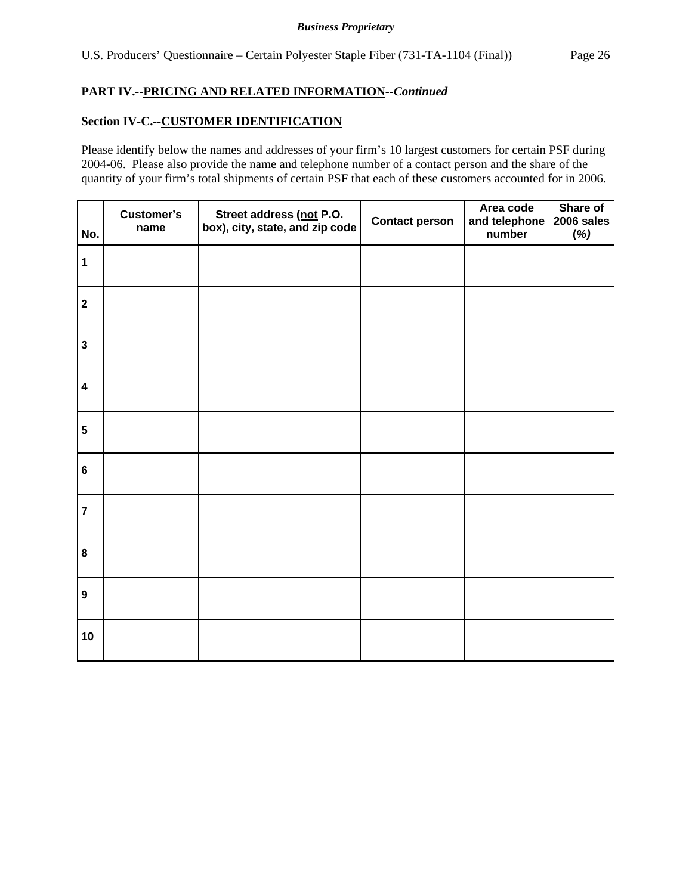### **PART IV.--PRICING AND RELATED INFORMATION***--Continued*

## **Section IV-C.--CUSTOMER IDENTIFICATION**

Please identify below the names and addresses of your firm's 10 largest customers for certain PSF during 2004-06. Please also provide the name and telephone number of a contact person and the share of the quantity of your firm's total shipments of certain PSF that each of these customers accounted for in 2006.

| No.                     | Customer's<br>name | Street address (not P.O.<br>box), city, state, and zip code | <b>Contact person</b> | Area code<br>and telephone<br>number | Share of<br>2006 sales<br>(%) |
|-------------------------|--------------------|-------------------------------------------------------------|-----------------------|--------------------------------------|-------------------------------|
| $\mathbf 1$             |                    |                                                             |                       |                                      |                               |
| $\mathbf{2}$            |                    |                                                             |                       |                                      |                               |
| $\mathbf{3}$            |                    |                                                             |                       |                                      |                               |
| $\overline{\mathbf{4}}$ |                    |                                                             |                       |                                      |                               |
| ${\bf 5}$               |                    |                                                             |                       |                                      |                               |
| $\bf 6$                 |                    |                                                             |                       |                                      |                               |
| $\overline{7}$          |                    |                                                             |                       |                                      |                               |
| $\bf 8$                 |                    |                                                             |                       |                                      |                               |
| $\boldsymbol{9}$        |                    |                                                             |                       |                                      |                               |
| 10                      |                    |                                                             |                       |                                      |                               |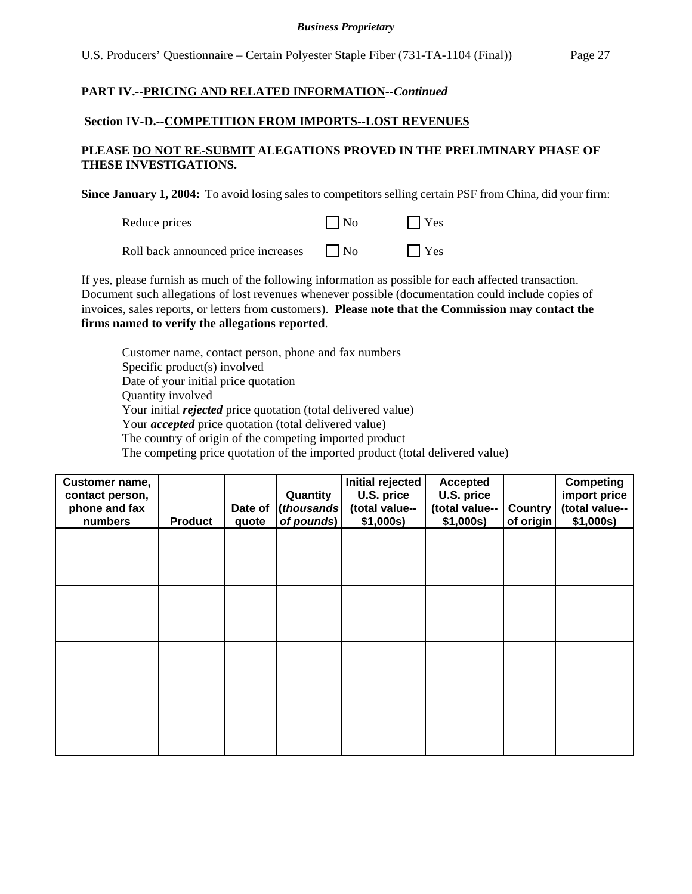### **PART IV.--PRICING AND RELATED INFORMATION***--Continued*

### **Section IV-D.--COMPETITION FROM IMPORTS--LOST REVENUES**

### **PLEASE DO NOT RE-SUBMIT ALEGATIONS PROVED IN THE PRELIMINARY PHASE OF THESE INVESTIGATIONS.**

**Since January 1, 2004:** To avoid losing sales to competitors selling certain PSF from China, did your firm:

| Reduce prices | $\vert$ No | Yes |
|---------------|------------|-----|
|               |            |     |

Roll back announced price increases  $\Box$  No  $\Box$  Yes

If yes, please furnish as much of the following information as possible for each affected transaction. Document such allegations of lost revenues whenever possible (documentation could include copies of invoices, sales reports, or letters from customers). **Please note that the Commission may contact the firms named to verify the allegations reported**.

Customer name, contact person, phone and fax numbers Specific product(s) involved Date of your initial price quotation Quantity involved Your initial *rejected* price quotation (total delivered value) Your *accepted* price quotation (total delivered value) The country of origin of the competing imported product The competing price quotation of the imported product (total delivered value)

| Customer name,<br>contact person,<br>phone and fax |                | Date of | Quantity<br>(thousands | Initial rejected<br>U.S. price<br>(total value-- | <b>Accepted</b><br>U.S. price<br>(total value-- | <b>Country</b> | <b>Competing</b><br>import price<br>(total value-- |
|----------------------------------------------------|----------------|---------|------------------------|--------------------------------------------------|-------------------------------------------------|----------------|----------------------------------------------------|
| numbers                                            | <b>Product</b> | quote   | of pounds)             | \$1,000s)                                        | \$1,000s)                                       | of origin      | \$1,000s)                                          |
|                                                    |                |         |                        |                                                  |                                                 |                |                                                    |
|                                                    |                |         |                        |                                                  |                                                 |                |                                                    |
|                                                    |                |         |                        |                                                  |                                                 |                |                                                    |
|                                                    |                |         |                        |                                                  |                                                 |                |                                                    |
|                                                    |                |         |                        |                                                  |                                                 |                |                                                    |
|                                                    |                |         |                        |                                                  |                                                 |                |                                                    |
|                                                    |                |         |                        |                                                  |                                                 |                |                                                    |
|                                                    |                |         |                        |                                                  |                                                 |                |                                                    |
|                                                    |                |         |                        |                                                  |                                                 |                |                                                    |
|                                                    |                |         |                        |                                                  |                                                 |                |                                                    |
|                                                    |                |         |                        |                                                  |                                                 |                |                                                    |
|                                                    |                |         |                        |                                                  |                                                 |                |                                                    |